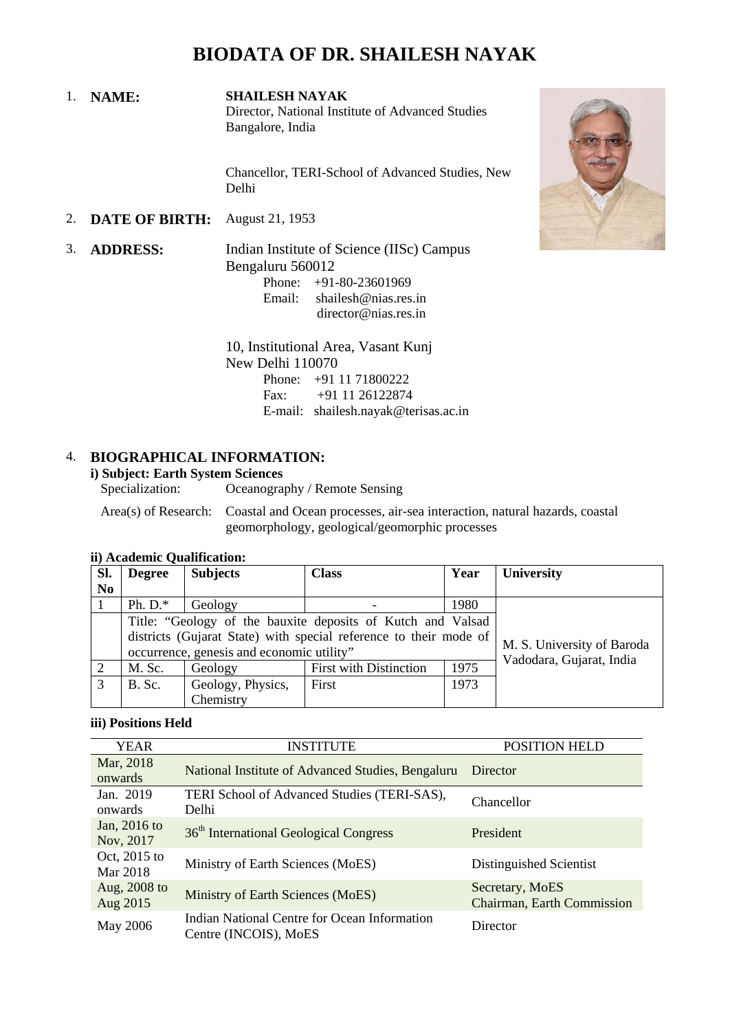1. **NAME: SHAILESH NAYAK** Director, National Institute of Advanced Studies Bangalore, India

> Chancellor, TERI-School of Advanced Studies, New Delhi

2. **DATE OF BIRTH:** August 21, 1953

3. **ADDRESS:** Indian Institute of Science (IISc) Campus Bengaluru 560012

> Phone:  $+91-80-23601969$ <br>Email: shailesh@nias.res shailesh@nias.res.in director@nias.res.in

10, Institutional Area, Vasant Kunj New Delhi 110070 Phone: +91 11 71800222<br>Fax: +91 11 26122874 Fax: +91 11 26122874 E-mail: shailesh.nayak@terisas.ac.in

#### 4. **BIOGRAPHICAL INFORMATION:**

# **i) Subject: Earth System Sciences**

Oceanography / Remote Sensing

Area(s) of Research: Coastal and Ocean processes, air-sea interaction, natural hazards, coastal geomorphology, geological/geomorphic processes

| Sl.<br>N <sub>0</sub> | <b>Degree</b>                                                                                                                                                                 | <b>Subjects</b>                | <b>Class</b>                  | Year | <b>University</b>                                      |
|-----------------------|-------------------------------------------------------------------------------------------------------------------------------------------------------------------------------|--------------------------------|-------------------------------|------|--------------------------------------------------------|
|                       | Ph. $D.*$                                                                                                                                                                     | Geology                        |                               | 1980 |                                                        |
|                       | Title: "Geology of the bauxite deposits of Kutch and Valsad<br>districts (Gujarat State) with special reference to their mode of<br>occurrence, genesis and economic utility" |                                |                               |      | M. S. University of Baroda<br>Vadodara, Gujarat, India |
| 2                     | M. Sc.                                                                                                                                                                        | Geology                        | <b>First with Distinction</b> | 1975 |                                                        |
| 3                     | B. Sc.                                                                                                                                                                        | Geology, Physics,<br>Chemistry | First                         | 1973 |                                                        |

#### **ii) Academic Qualification:**

#### **iii) Positions Held**

| YEAR         | <b>INSTITUTE</b>                                   | POSITION HELD              |  |
|--------------|----------------------------------------------------|----------------------------|--|
| Mar, 2018    | National Institute of Advanced Studies, Bengaluru  | Director                   |  |
| onwards      |                                                    |                            |  |
| Jan. 2019    | TERI School of Advanced Studies (TERI-SAS),        | Chancellor                 |  |
| onwards      | Delhi                                              |                            |  |
| Jan, 2016 to | 36 <sup>th</sup> International Geological Congress | President                  |  |
| Nov, 2017    |                                                    |                            |  |
| Oct, 2015 to | Ministry of Earth Sciences (MoES)                  | Distinguished Scientist    |  |
| Mar 2018     |                                                    |                            |  |
| Aug, 2008 to | Ministry of Earth Sciences (MoES)                  | Secretary, MoES            |  |
| Aug 2015     |                                                    | Chairman, Earth Commission |  |
| May 2006     | Indian National Centre for Ocean Information       | Director                   |  |
|              | Centre (INCOIS), MoES                              |                            |  |

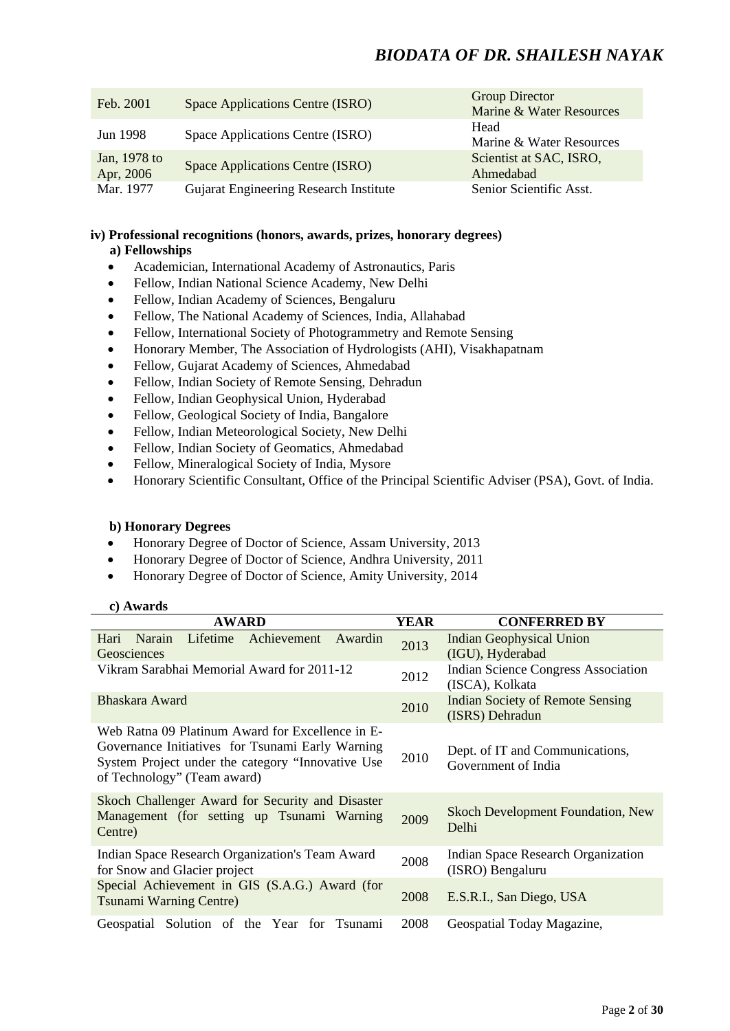| Feb. 2001                 | Space Applications Centre (ISRO)       | <b>Group Director</b><br>Marine & Water Resources |
|---------------------------|----------------------------------------|---------------------------------------------------|
| Jun 1998                  | Space Applications Centre (ISRO)       | Head<br>Marine & Water Resources                  |
| Jan, 1978 to<br>Apr, 2006 | Space Applications Centre (ISRO)       | Scientist at SAC, ISRO.<br>Ahmedabad              |
| Mar. 1977                 | Gujarat Engineering Research Institute | Senior Scientific Asst.                           |

#### **iv) Professional recognitions (honors, awards, prizes, honorary degrees) a) Fellowships**

- Academician, International Academy of Astronautics, Paris
- Fellow, Indian National Science Academy, New Delhi
- Fellow, Indian Academy of Sciences, Bengaluru
- Fellow, The National Academy of Sciences, India, Allahabad
- Fellow, International Society of Photogrammetry and Remote Sensing
- Honorary Member, The Association of Hydrologists (AHI), Visakhapatnam
- Fellow, Gujarat Academy of Sciences, Ahmedabad
- Fellow, Indian Society of Remote Sensing, Dehradun
- Fellow, Indian Geophysical Union, Hyderabad
- Fellow, Geological Society of India, Bangalore
- Fellow, Indian Meteorological Society, New Delhi
- Fellow, Indian Society of Geomatics, Ahmedabad
- Fellow, Mineralogical Society of India, Mysore
- Honorary Scientific Consultant, Office of the Principal Scientific Adviser (PSA), Govt. of India.

#### **b) Honorary Degrees**

- Honorary Degree of Doctor of Science, Assam University, 2013
- Honorary Degree of Doctor of Science, Andhra University, 2011
- Honorary Degree of Doctor of Science, Amity University, 2014

#### **c) Awards**

| <b>AWARD</b>                                                                                                                                                                             | <b>YEAR</b> | <b>CONFERRED BY</b>                                           |  |
|------------------------------------------------------------------------------------------------------------------------------------------------------------------------------------------|-------------|---------------------------------------------------------------|--|
| Lifetime<br>Achievement Awardin<br>Hari<br>Narain<br>Geosciences                                                                                                                         | 2013        | <b>Indian Geophysical Union</b><br>(IGU), Hyderabad           |  |
| Vikram Sarabhai Memorial Award for 2011-12                                                                                                                                               | 2012        | <b>Indian Science Congress Association</b><br>(ISCA), Kolkata |  |
| Bhaskara Award                                                                                                                                                                           | 2010        | <b>Indian Society of Remote Sensing</b><br>(ISRS) Dehradun    |  |
| Web Ratna 09 Platinum Award for Excellence in E-<br>Governance Initiatives for Tsunami Early Warning<br>System Project under the category "Innovative Use<br>of Technology" (Team award) |             | Dept. of IT and Communications,<br>Government of India        |  |
| Skoch Challenger Award for Security and Disaster<br>Management (for setting up Tsunami Warning<br>Centre)                                                                                | 2009        | <b>Skoch Development Foundation, New</b><br>Delhi             |  |
| Indian Space Research Organization's Team Award<br>for Snow and Glacier project                                                                                                          | 2008        | Indian Space Research Organization<br>(ISRO) Bengaluru        |  |
| Special Achievement in GIS (S.A.G.) Award (for<br><b>Tsunami Warning Centre)</b>                                                                                                         | 2008        | E.S.R.I., San Diego, USA                                      |  |
| Geospatial Solution of the Year<br>for Tsunami                                                                                                                                           | 2008        | Geospatial Today Magazine,                                    |  |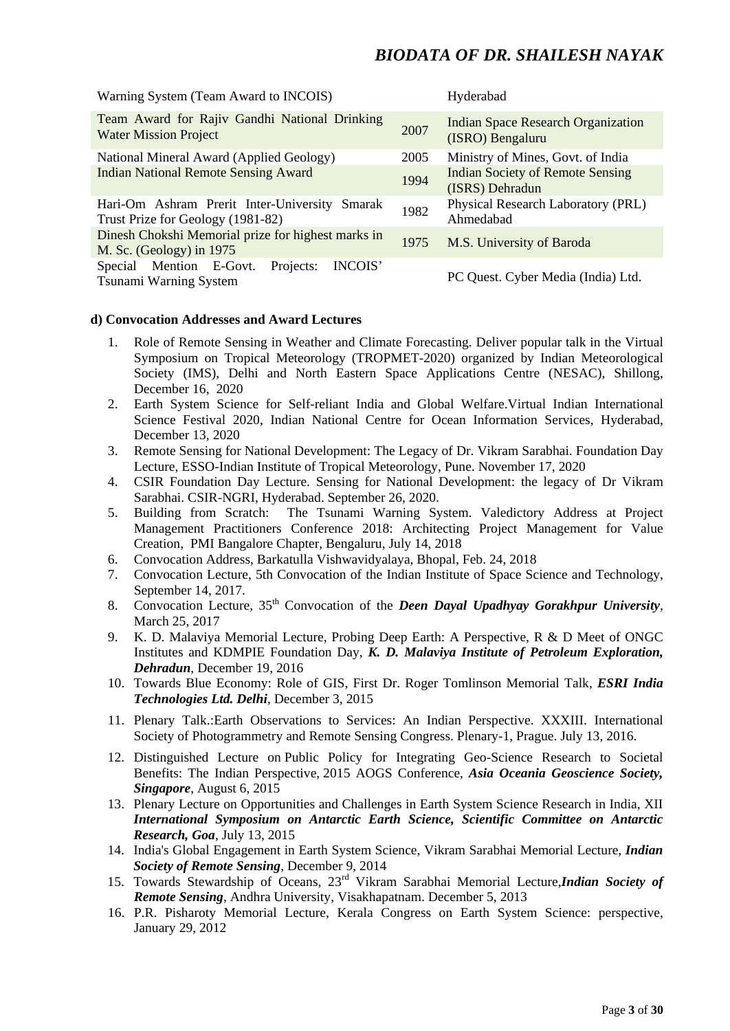| Warning System (Team Award to INCOIS)                                              |      | Hyderabad                                                     |  |
|------------------------------------------------------------------------------------|------|---------------------------------------------------------------|--|
| Team Award for Rajiv Gandhi National Drinking<br><b>Water Mission Project</b>      |      | <b>Indian Space Research Organization</b><br>(ISRO) Bengaluru |  |
| National Mineral Award (Applied Geology)<br>2005                                   |      | Ministry of Mines, Govt. of India                             |  |
| <b>Indian National Remote Sensing Award</b>                                        |      | <b>Indian Society of Remote Sensing</b><br>(ISRS) Dehradun    |  |
| Hari-Om Ashram Prerit Inter-University Smarak<br>Trust Prize for Geology (1981-82) | 1982 | Physical Research Laboratory (PRL)<br>Ahmedabad               |  |
| Dinesh Chokshi Memorial prize for highest marks in<br>M. Sc. (Geology) in $1975$   | 1975 | M.S. University of Baroda                                     |  |
| Special Mention E-Govt.<br><b>INCOIS'</b><br>Projects:<br>Tsunami Warning System   |      | PC Quest. Cyber Media (India) Ltd.                            |  |

#### **d) Convocation Addresses and Award Lectures**

- 1. Role of Remote Sensing in Weather and Climate Forecasting. Deliver popular talk in the Virtual Symposium on Tropical Meteorology (TROPMET-2020) organized by Indian Meteorological Society (IMS), Delhi and North Eastern Space Applications Centre (NESAC), Shillong, December 16, 2020
- 2. Earth System Science for Self-reliant India and Global Welfare.Virtual Indian International Science Festival 2020, Indian National Centre for Ocean Information Services, Hyderabad, December 13, 2020
- 3. Remote Sensing for National Development: The Legacy of Dr. Vikram Sarabhai. Foundation Day Lecture, ESSO-Indian Institute of Tropical Meteorology, Pune. November 17, 2020
- 4. CSIR Foundation Day Lecture. Sensing for National Development: the legacy of Dr Vikram Sarabhai. CSIR-NGRI, Hyderabad. September 26, 2020.
- 5. Building from Scratch: The Tsunami Warning System. Valedictory Address at Project Management Practitioners Conference 2018: Architecting Project Management for Value Creation, PMI Bangalore Chapter, Bengaluru, July 14, 2018
- 6. Convocation Address, Barkatulla Vishwavidyalaya, Bhopal, Feb. 24, 2018
- 7. Convocation Lecture, 5th Convocation of the Indian Institute of Space Science and Technology, September 14, 2017.
- 8. Convocation Lecture, 35th Convocation of the *Deen Dayal Upadhyay Gorakhpur University*, March 25, 2017
- 9. K. D. Malaviya Memorial Lecture, Probing Deep Earth: A Perspective, R & D Meet of ONGC Institutes and KDMPIE Foundation Day, *K. D. Malaviya Institute of Petroleum Exploration, Dehradun*, December 19, 2016
- 10. Towards Blue Economy: Role of GIS, First Dr. Roger Tomlinson Memorial Talk, *ESRI India Technologies Ltd. Delhi*, December 3, 2015
- 11. Plenary Talk.:Earth Observations to Services: An Indian Perspective. XXXIII. International Society of Photogrammetry and Remote Sensing Congress. Plenary-1, Prague. July 13, 2016.
- 12. Distinguished Lecture on Public Policy for Integrating Geo-Science Research to Societal Benefits: The Indian Perspective, 2015 AOGS Conference, *Asia Oceania Geoscience Society, Singapore*, August 6, 2015
- 13. Plenary Lecture on Opportunities and Challenges in Earth System Science Research in India, XII *International Symposium on Antarctic Earth Science, Scientific Committee on Antarctic Research, Goa*, July 13, 2015
- 14. India's Global Engagement in Earth System Science, Vikram Sarabhai Memorial Lecture, *Indian Society of Remote Sensing*, December 9, 2014
- 15. Towards Stewardship of Oceans, 23rd Vikram Sarabhai Memorial Lecture,*Indian Society of Remote Sensing*, Andhra University, Visakhapatnam. December 5, 2013
- 16. P.R. Pisharoty Memorial Lecture, Kerala Congress on Earth System Science: perspective, January 29, 2012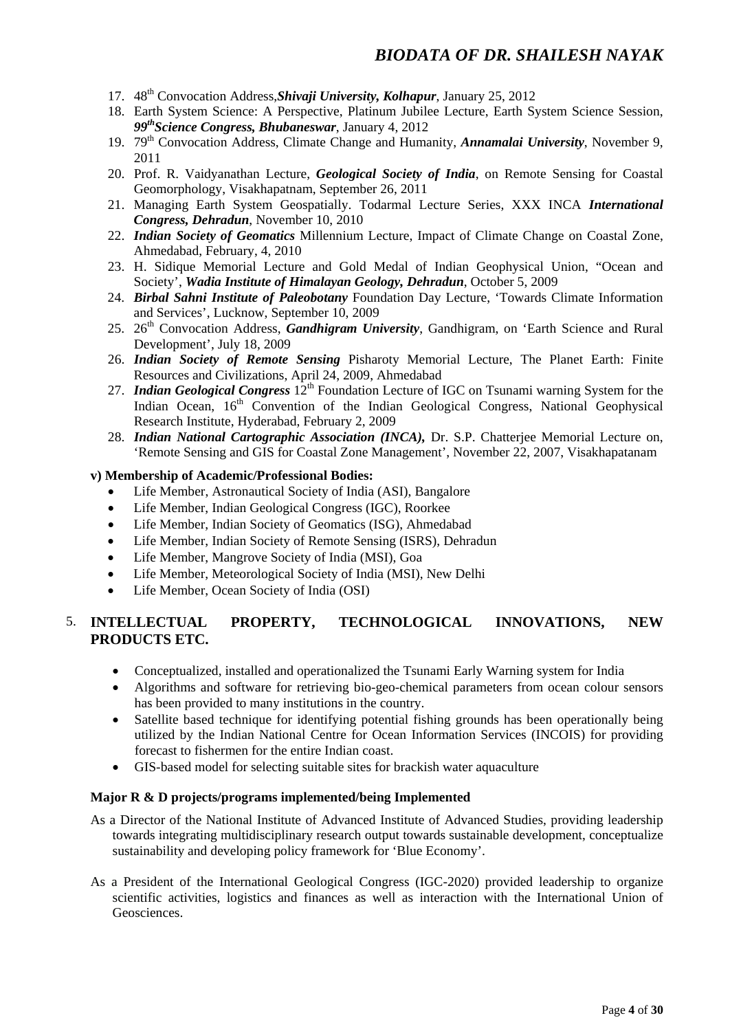- 17. 48th Convocation Address,*Shivaji University, Kolhapur*, January 25, 2012
- 18. Earth System Science: A Perspective, Platinum Jubilee Lecture, Earth System Science Session, *99thScience Congress, Bhubaneswar*, January 4, 2012
- 19. 79th Convocation Address, Climate Change and Humanity, *Annamalai University*, November 9, 2011
- 20. Prof. R. Vaidyanathan Lecture, *Geological Society of India*, on Remote Sensing for Coastal Geomorphology, Visakhapatnam, September 26, 2011
- 21. Managing Earth System Geospatially. Todarmal Lecture Series, XXX INCA *International Congress, Dehradun*, November 10, 2010
- 22. *Indian Society of Geomatics* Millennium Lecture, Impact of Climate Change on Coastal Zone, Ahmedabad, February, 4, 2010
- 23. H. Sidique Memorial Lecture and Gold Medal of Indian Geophysical Union, "Ocean and Society', *Wadia Institute of Himalayan Geology, Dehradun*, October 5, 2009
- 24. *Birbal Sahni Institute of Paleobotany* Foundation Day Lecture, 'Towards Climate Information and Services', Lucknow, September 10, 2009
- 25. 26<sup>th</sup> Convocation Address, *Gandhigram University*, Gandhigram, on 'Earth Science and Rural Development', July 18, 2009
- 26. *Indian Society of Remote Sensing* Pisharoty Memorial Lecture, The Planet Earth: Finite Resources and Civilizations, April 24, 2009, Ahmedabad
- 27. *Indian Geological Congress*  $12^{th}$  Foundation Lecture of IGC on Tsunami warning System for the Indian Ocean, 16<sup>th</sup> Convention of the Indian Geological Congress, National Geophysical Research Institute, Hyderabad, February 2, 2009
- 28. *Indian National Cartographic Association (INCA),* Dr. S.P. Chatterjee Memorial Lecture on, 'Remote Sensing and GIS for Coastal Zone Management', November 22, 2007, Visakhapatanam

#### **v) Membership of Academic/Professional Bodies:**

- Life Member, Astronautical Society of India (ASI), Bangalore
- Life Member, Indian Geological Congress (IGC), Roorkee
- Life Member, Indian Society of Geomatics (ISG), Ahmedabad
- Life Member, Indian Society of Remote Sensing (ISRS), Dehradun
- Life Member, Mangrove Society of India (MSI), Goa
- Life Member, Meteorological Society of India (MSI), New Delhi
- Life Member, Ocean Society of India (OSI)

#### 5. **INTELLECTUAL PROPERTY, TECHNOLOGICAL INNOVATIONS, NEW PRODUCTS ETC.**

- Conceptualized, installed and operationalized the Tsunami Early Warning system for India
- Algorithms and software for retrieving bio-geo-chemical parameters from ocean colour sensors has been provided to many institutions in the country.
- Satellite based technique for identifying potential fishing grounds has been operationally being utilized by the Indian National Centre for Ocean Information Services (INCOIS) for providing forecast to fishermen for the entire Indian coast.
- GIS-based model for selecting suitable sites for brackish water aquaculture

#### **Major R & D projects/programs implemented/being Implemented**

- As a Director of the National Institute of Advanced Institute of Advanced Studies, providing leadership towards integrating multidisciplinary research output towards sustainable development, conceptualize sustainability and developing policy framework for 'Blue Economy'.
- As a President of the International Geological Congress (IGC-2020) provided leadership to organize scientific activities, logistics and finances as well as interaction with the International Union of Geosciences.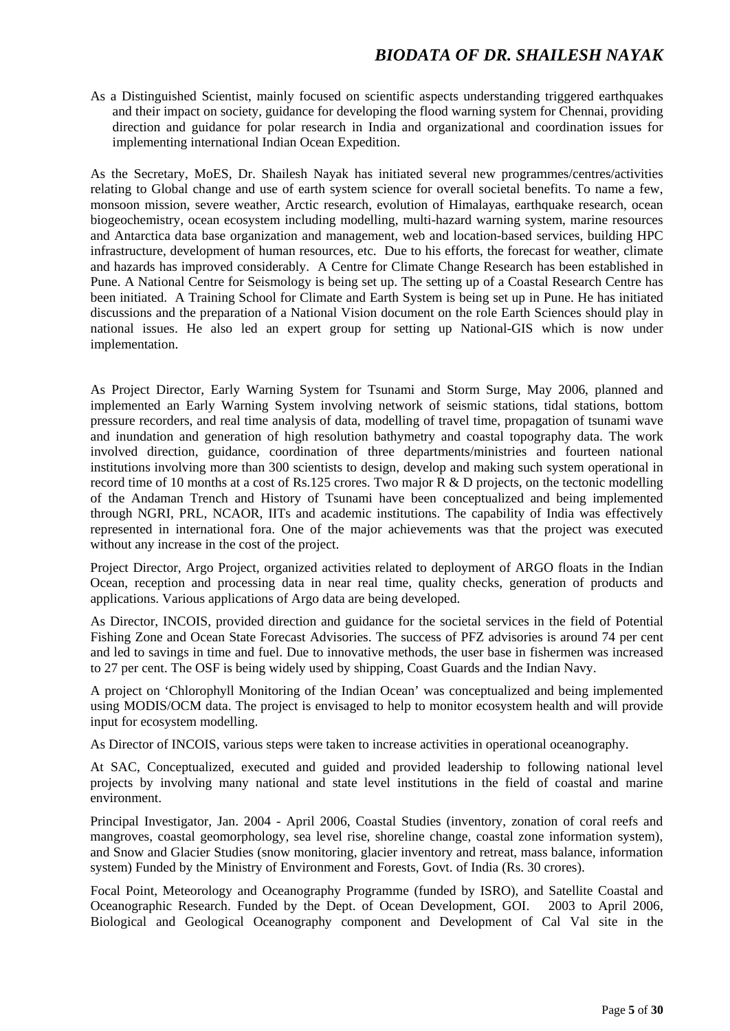As a Distinguished Scientist, mainly focused on scientific aspects understanding triggered earthquakes and their impact on society, guidance for developing the flood warning system for Chennai, providing direction and guidance for polar research in India and organizational and coordination issues for implementing international Indian Ocean Expedition.

As the Secretary, MoES, Dr. Shailesh Nayak has initiated several new programmes/centres/activities relating to Global change and use of earth system science for overall societal benefits. To name a few, monsoon mission, severe weather, Arctic research, evolution of Himalayas, earthquake research, ocean biogeochemistry, ocean ecosystem including modelling, multi-hazard warning system, marine resources and Antarctica data base organization and management, web and location-based services, building HPC infrastructure, development of human resources, etc. Due to his efforts, the forecast for weather, climate and hazards has improved considerably. A Centre for Climate Change Research has been established in Pune. A National Centre for Seismology is being set up. The setting up of a Coastal Research Centre has been initiated. A Training School for Climate and Earth System is being set up in Pune. He has initiated discussions and the preparation of a National Vision document on the role Earth Sciences should play in national issues. He also led an expert group for setting up National-GIS which is now under implementation.

As Project Director, Early Warning System for Tsunami and Storm Surge, May 2006, planned and implemented an Early Warning System involving network of seismic stations, tidal stations, bottom pressure recorders, and real time analysis of data, modelling of travel time, propagation of tsunami wave and inundation and generation of high resolution bathymetry and coastal topography data. The work involved direction, guidance, coordination of three departments/ministries and fourteen national institutions involving more than 300 scientists to design, develop and making such system operational in record time of 10 months at a cost of Rs.125 crores. Two major R & D projects, on the tectonic modelling of the Andaman Trench and History of Tsunami have been conceptualized and being implemented through NGRI, PRL, NCAOR, IITs and academic institutions. The capability of India was effectively represented in international fora. One of the major achievements was that the project was executed without any increase in the cost of the project.

Project Director, Argo Project, organized activities related to deployment of ARGO floats in the Indian Ocean, reception and processing data in near real time, quality checks, generation of products and applications. Various applications of Argo data are being developed.

As Director, INCOIS, provided direction and guidance for the societal services in the field of Potential Fishing Zone and Ocean State Forecast Advisories. The success of PFZ advisories is around 74 per cent and led to savings in time and fuel. Due to innovative methods, the user base in fishermen was increased to 27 per cent. The OSF is being widely used by shipping, Coast Guards and the Indian Navy.

A project on 'Chlorophyll Monitoring of the Indian Ocean' was conceptualized and being implemented using MODIS/OCM data. The project is envisaged to help to monitor ecosystem health and will provide input for ecosystem modelling.

As Director of INCOIS, various steps were taken to increase activities in operational oceanography.

At SAC, Conceptualized, executed and guided and provided leadership to following national level projects by involving many national and state level institutions in the field of coastal and marine environment.

Principal Investigator, Jan. 2004 - April 2006, Coastal Studies (inventory, zonation of coral reefs and mangroves, coastal geomorphology, sea level rise, shoreline change, coastal zone information system), and Snow and Glacier Studies (snow monitoring, glacier inventory and retreat, mass balance, information system) Funded by the Ministry of Environment and Forests, Govt. of India (Rs. 30 crores).

Focal Point, Meteorology and Oceanography Programme (funded by ISRO), and Satellite Coastal and Oceanographic Research. Funded by the Dept. of Ocean Development, GOI. 2003 to April 2006, Biological and Geological Oceanography component and Development of Cal Val site in the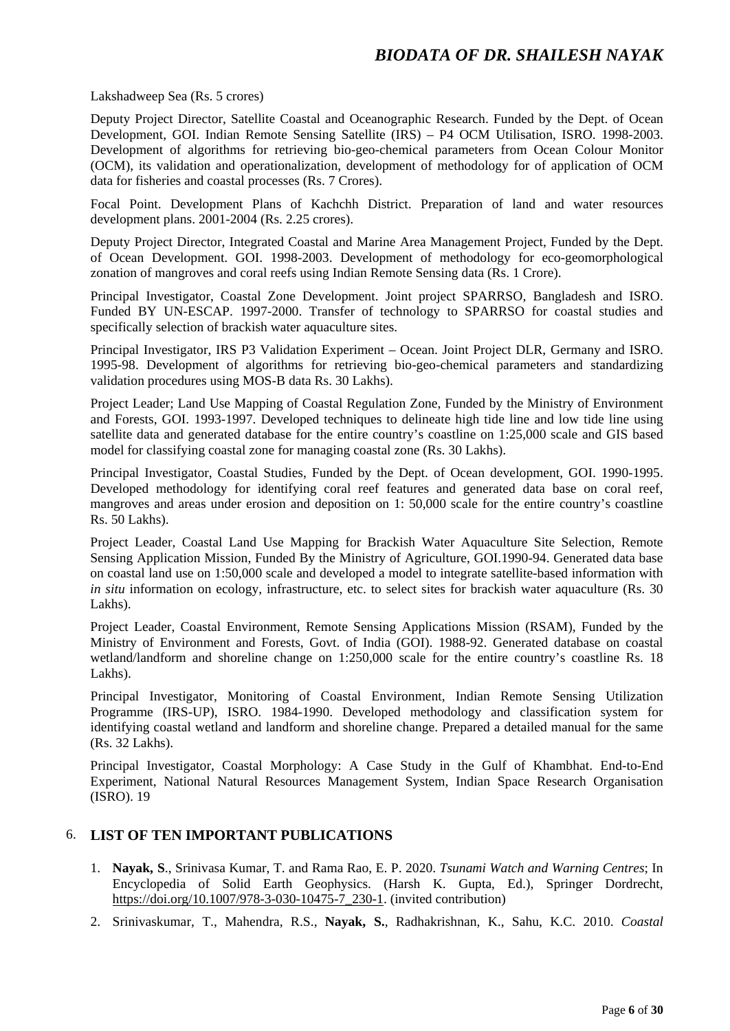Lakshadweep Sea (Rs. 5 crores)

Deputy Project Director, Satellite Coastal and Oceanographic Research. Funded by the Dept. of Ocean Development, GOI. Indian Remote Sensing Satellite (IRS) – P4 OCM Utilisation, ISRO. 1998-2003. Development of algorithms for retrieving bio-geo-chemical parameters from Ocean Colour Monitor (OCM), its validation and operationalization, development of methodology for of application of OCM data for fisheries and coastal processes (Rs. 7 Crores).

Focal Point. Development Plans of Kachchh District. Preparation of land and water resources development plans. 2001-2004 (Rs. 2.25 crores).

Deputy Project Director, Integrated Coastal and Marine Area Management Project, Funded by the Dept. of Ocean Development. GOI. 1998-2003. Development of methodology for eco-geomorphological zonation of mangroves and coral reefs using Indian Remote Sensing data (Rs. 1 Crore).

Principal Investigator, Coastal Zone Development. Joint project SPARRSO, Bangladesh and ISRO. Funded BY UN-ESCAP. 1997-2000. Transfer of technology to SPARRSO for coastal studies and specifically selection of brackish water aquaculture sites.

Principal Investigator, IRS P3 Validation Experiment – Ocean. Joint Project DLR, Germany and ISRO. 1995-98. Development of algorithms for retrieving bio-geo-chemical parameters and standardizing validation procedures using MOS-B data Rs. 30 Lakhs).

Project Leader; Land Use Mapping of Coastal Regulation Zone, Funded by the Ministry of Environment and Forests, GOI. 1993-1997. Developed techniques to delineate high tide line and low tide line using satellite data and generated database for the entire country's coastline on 1:25,000 scale and GIS based model for classifying coastal zone for managing coastal zone (Rs. 30 Lakhs).

Principal Investigator, Coastal Studies, Funded by the Dept. of Ocean development, GOI. 1990-1995. Developed methodology for identifying coral reef features and generated data base on coral reef, mangroves and areas under erosion and deposition on 1: 50,000 scale for the entire country's coastline Rs. 50 Lakhs).

Project Leader, Coastal Land Use Mapping for Brackish Water Aquaculture Site Selection, Remote Sensing Application Mission, Funded By the Ministry of Agriculture, GOI.1990-94. Generated data base on coastal land use on 1:50,000 scale and developed a model to integrate satellite-based information with *in situ* information on ecology, infrastructure, etc. to select sites for brackish water aquaculture (Rs. 30) Lakhs).

Project Leader, Coastal Environment, Remote Sensing Applications Mission (RSAM), Funded by the Ministry of Environment and Forests, Govt. of India (GOI). 1988-92. Generated database on coastal wetland/landform and shoreline change on 1:250,000 scale for the entire country's coastline Rs. 18 Lakhs).

Principal Investigator, Monitoring of Coastal Environment, Indian Remote Sensing Utilization Programme (IRS-UP), ISRO. 1984-1990. Developed methodology and classification system for identifying coastal wetland and landform and shoreline change. Prepared a detailed manual for the same (Rs. 32 Lakhs).

Principal Investigator, Coastal Morphology: A Case Study in the Gulf of Khambhat. End-to-End Experiment, National Natural Resources Management System, Indian Space Research Organisation (ISRO). 19

#### 6. **LIST OF TEN IMPORTANT PUBLICATIONS**

- 1. **Nayak, S**., Srinivasa Kumar, T. and Rama Rao, E. P. 2020. *Tsunami Watch and Warning Centres*; In Encyclopedia of Solid Earth Geophysics. (Harsh K. Gupta, Ed.), Springer Dordrecht, [https://doi.org/10.1007/978-3-030-10475-7\\_230-1.](https://doi.org/10.1007/978-3-030-10475-7_230-1) (invited contribution)
- 2. Srinivaskumar, T., Mahendra, R.S., **Nayak, S.**, Radhakrishnan, K., Sahu, K.C. 2010. *Coastal*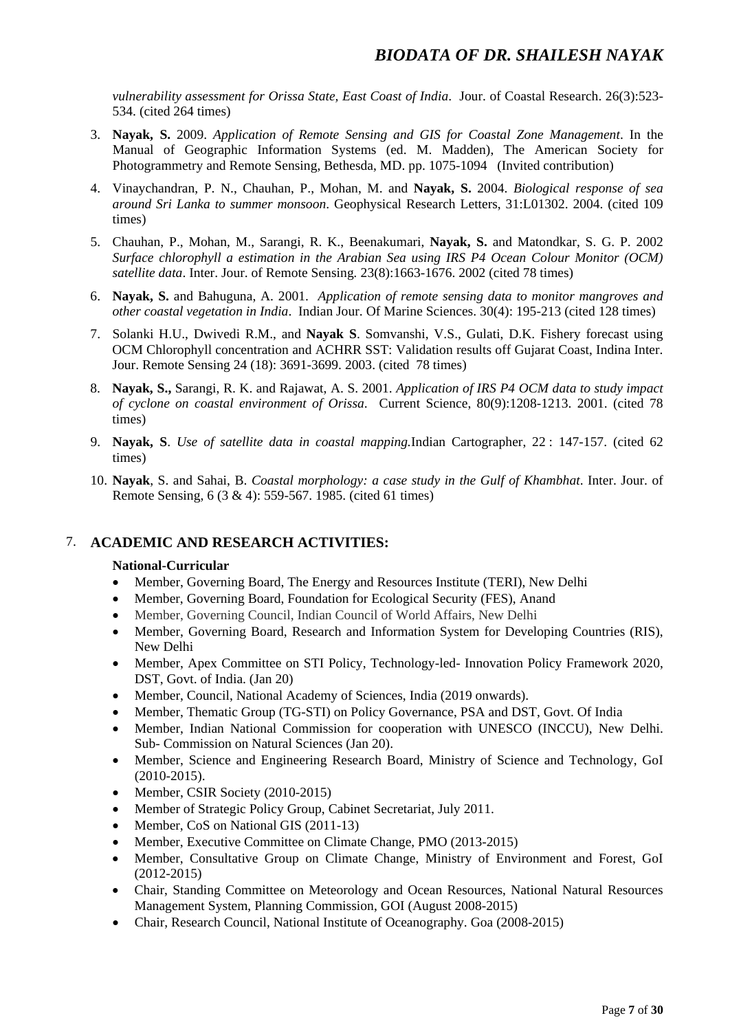*vulnerability assessment for Orissa State, East Coast of India*. Jour. of Coastal Research. 26(3):523- 534. (cited 264 times)

- 3. **Nayak, S.** 2009. *Application of Remote Sensing and GIS for Coastal Zone Management*. In the Manual of Geographic Information Systems (ed. M. Madden), The American Society for Photogrammetry and Remote Sensing, Bethesda, MD. pp. 1075-1094 (Invited contribution)
- 4. Vinaychandran, P. N., Chauhan, P., Mohan, M. and **Nayak, S.** 2004. *Biological response of sea around Sri Lanka to summer monsoon*. Geophysical Research Letters, 31:L01302. 2004. (cited 109 times)
- 5. Chauhan, P., Mohan, M., Sarangi, R. K., Beenakumari, **Nayak, S.** and Matondkar, S. G. P. 2002 *Surface chlorophyll a estimation in the Arabian Sea using IRS P4 Ocean Colour Monitor (OCM) satellite data*. Inter. Jour. of Remote Sensing*.* 23(8):1663-1676. 2002 (cited 78 times)
- 6. **Nayak, S.** and Bahuguna, A. 2001. *Application of remote sensing data to monitor mangroves and other coastal vegetation in India*. Indian Jour. Of Marine Sciences. 30(4): 195-213 (cited 128 times)
- 7. Solanki H.U., Dwivedi R.M., and **Nayak S**. Somvanshi, V.S., Gulati, D.K. Fishery forecast using OCM Chlorophyll concentration and ACHRR SST: Validation results off Gujarat Coast, Indina Inter. Jour. Remote Sensing 24 (18): 3691-3699. 2003. (cited 78 times)
- 8. **Nayak, S.,** Sarangi, R. K. and Rajawat, A. S. 2001. *Application of IRS P4 OCM data to study impact of cyclone on coastal environment of Orissa*. Current Science, 80(9):1208-1213. 2001. (cited 78 times)
- 9. **Nayak, S**. *Use of satellite data in coastal mapping.*Indian Cartographer, 22 : 147-157. (cited 62 times)
- 10. **Nayak**, S. and Sahai, B. *Coastal morphology: a case study in the Gulf of Khambhat*. Inter. Jour. of Remote Sensing, 6 (3 & 4): 559-567. 1985. (cited 61 times)

#### 7. **ACADEMIC AND RESEARCH ACTIVITIES:**

#### **National-Curricular**

- Member, Governing Board, The Energy and Resources Institute (TERI), New Delhi
- Member, Governing Board, Foundation for Ecological Security (FES), Anand
- Member, Governing Council, Indian Council of World Affairs, New Delhi
- Member, Governing Board, Research and Information System for Developing Countries (RIS), New Delhi
- Member, Apex Committee on STI Policy, Technology-led-Innovation Policy Framework 2020, DST, Govt. of India. (Jan 20)
- Member, Council, National Academy of Sciences, India (2019 onwards).
- Member, Thematic Group (TG-STI) on Policy Governance, PSA and DST, Govt. Of India
- Member, Indian National Commission for cooperation with UNESCO (INCCU), New Delhi. Sub- Commission on Natural Sciences (Jan 20).
- Member, Science and Engineering Research Board, Ministry of Science and Technology, GoI (2010-2015).
- Member, CSIR Society (2010-2015)
- Member of Strategic Policy Group, Cabinet Secretariat, July 2011.
- Member, CoS on National GIS (2011-13)
- Member, Executive Committee on Climate Change, PMO (2013-2015)
- Member, Consultative Group on Climate Change, Ministry of Environment and Forest, GoI (2012-2015)
- Chair, Standing Committee on Meteorology and Ocean Resources, National Natural Resources Management System, Planning Commission, GOI (August 2008-2015)
- Chair, Research Council, National Institute of Oceanography. Goa (2008-2015)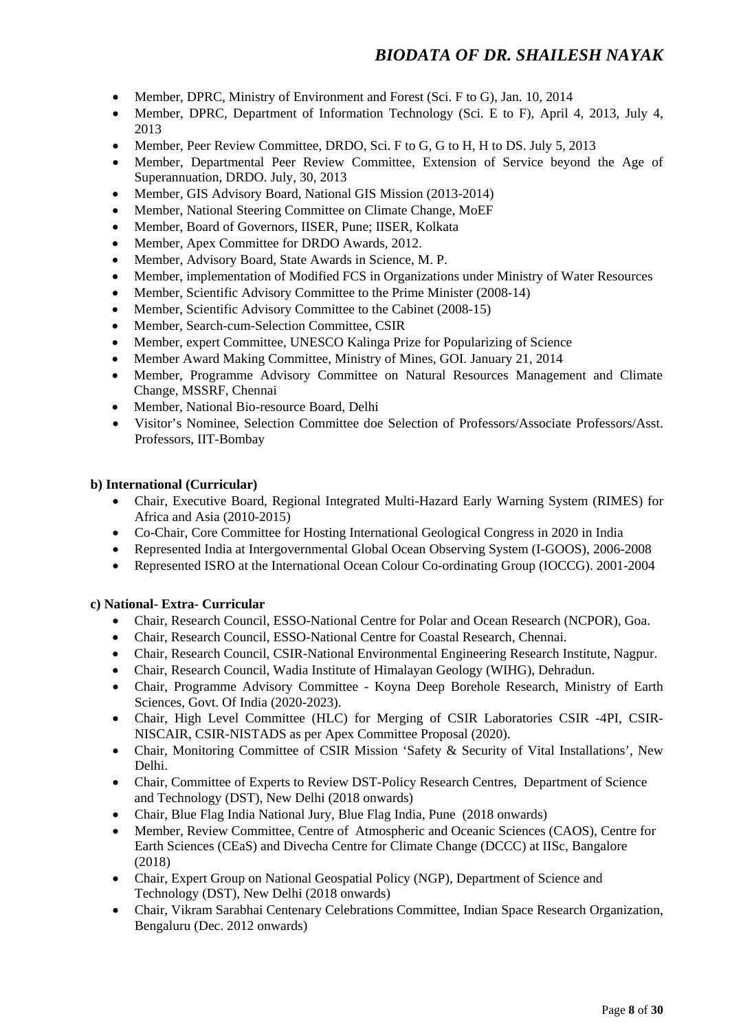- Member, DPRC, Ministry of Environment and Forest (Sci. F to G), Jan. 10, 2014
- Member, DPRC, Department of Information Technology (Sci. E to F), April 4, 2013, July 4, 2013
- Member, Peer Review Committee, DRDO, Sci. F to G, G to H, H to DS. July 5, 2013
- Member, Departmental Peer Review Committee, Extension of Service beyond the Age of Superannuation, DRDO. July, 30, 2013
- Member, GIS Advisory Board, National GIS Mission (2013-2014)
- Member, National Steering Committee on Climate Change, MoEF
- Member, Board of Governors, IISER, Pune; IISER, Kolkata
- Member, Apex Committee for DRDO Awards, 2012.
- Member, Advisory Board, State Awards in Science, M. P.
- Member, implementation of Modified FCS in Organizations under Ministry of Water Resources
- Member, Scientific Advisory Committee to the Prime Minister (2008-14)
- Member, Scientific Advisory Committee to the Cabinet (2008-15)
- Member, Search-cum-Selection Committee, CSIR
- Member, expert Committee, UNESCO Kalinga Prize for Popularizing of Science
- Member Award Making Committee, Ministry of Mines, GOI. January 21, 2014
- Member, Programme Advisory Committee on Natural Resources Management and Climate Change, MSSRF, Chennai
- Member, National Bio-resource Board, Delhi
- Visitor's Nominee, Selection Committee doe Selection of Professors/Associate Professors/Asst. Professors, IIT-Bombay

#### **b) International (Curricular)**

- Chair, Executive Board, Regional Integrated Multi-Hazard Early Warning System (RIMES) for Africa and Asia (2010-2015)
- Co-Chair, Core Committee for Hosting International Geological Congress in 2020 in India
- Represented India at Intergovernmental Global Ocean Observing System (I-GOOS), 2006-2008
- Represented ISRO at the International Ocean Colour Co-ordinating Group (IOCCG). 2001-2004

#### **c) National- Extra- Curricular**

- Chair, Research Council, ESSO-National Centre for Polar and Ocean Research (NCPOR), Goa.
- Chair, Research Council, ESSO-National Centre for Coastal Research, Chennai.
- Chair, Research Council, CSIR-National Environmental Engineering Research Institute, Nagpur.
- Chair, Research Council, Wadia Institute of Himalayan Geology (WIHG), Dehradun.
- Chair, Programme Advisory Committee Koyna Deep Borehole Research, Ministry of Earth Sciences, Govt. Of India (2020-2023).
- Chair, High Level Committee (HLC) for Merging of CSIR Laboratories CSIR -4PI, CSIR-NISCAIR, CSIR-NISTADS as per Apex Committee Proposal (2020).
- Chair, Monitoring Committee of CSIR Mission 'Safety & Security of Vital Installations', New Delhi.
- Chair, Committee of Experts to Review DST-Policy Research Centres, Department of Science and Technology (DST), New Delhi (2018 onwards)
- Chair, Blue Flag India National Jury, Blue Flag India, Pune (2018 onwards)
- Member, Review Committee, Centre of Atmospheric and Oceanic Sciences (CAOS), Centre for Earth Sciences (CEaS) and Divecha Centre for Climate Change (DCCC) at IISc, Bangalore (2018)
- Chair, Expert Group on National Geospatial Policy (NGP), Department of Science and Technology (DST), New Delhi (2018 onwards)
- Chair, Vikram Sarabhai Centenary Celebrations Committee, Indian Space Research Organization, Bengaluru (Dec. 2012 onwards)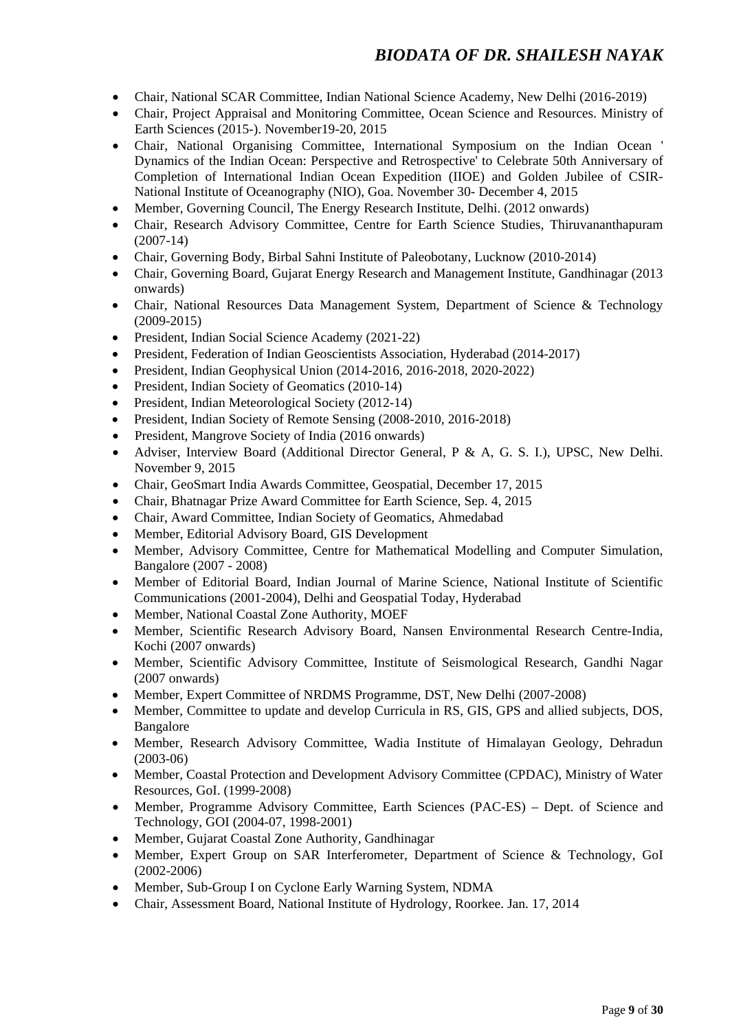- Chair, National SCAR Committee, Indian National Science Academy, New Delhi (2016-2019)
- Chair, Project Appraisal and Monitoring Committee, Ocean Science and Resources. Ministry of Earth Sciences (2015-). November19-20, 2015
- Chair, National Organising Committee, International Symposium on the Indian Ocean ' Dynamics of the Indian Ocean: Perspective and Retrospective' to Celebrate 50th Anniversary of Completion of International Indian Ocean Expedition (IIOE) and Golden Jubilee of CSIR-National Institute of Oceanography (NIO), Goa. November 30- December 4, 2015
- Member, Governing Council, The Energy Research Institute, Delhi. (2012 onwards)
- Chair, Research Advisory Committee, Centre for Earth Science Studies, Thiruvananthapuram (2007-14)
- Chair, Governing Body, Birbal Sahni Institute of Paleobotany, Lucknow (2010-2014)
- Chair, Governing Board, Gujarat Energy Research and Management Institute, Gandhinagar (2013 onwards)
- Chair, National Resources Data Management System, Department of Science & Technology (2009-2015)
- President, Indian Social Science Academy (2021-22)
- President, Federation of Indian Geoscientists Association, Hyderabad (2014-2017)
- President, Indian Geophysical Union (2014-2016, 2016-2018, 2020-2022)
- President, Indian Society of Geomatics (2010-14)
- President, Indian Meteorological Society (2012-14)
- President, Indian Society of Remote Sensing (2008-2010, 2016-2018)
- President, Mangrove Society of India (2016 onwards)
- Adviser, Interview Board (Additional Director General, P & A, G. S. I.), UPSC, New Delhi. November 9, 2015
- Chair, GeoSmart India Awards Committee, Geospatial, December 17, 2015
- Chair, Bhatnagar Prize Award Committee for Earth Science, Sep. 4, 2015
- Chair, Award Committee, Indian Society of Geomatics, Ahmedabad
- Member, Editorial Advisory Board, GIS Development
- Member, Advisory Committee, Centre for Mathematical Modelling and Computer Simulation, Bangalore (2007 - 2008)
- Member of Editorial Board, Indian Journal of Marine Science, National Institute of Scientific Communications (2001-2004), Delhi and Geospatial Today, Hyderabad
- Member, National Coastal Zone Authority, MOEF
- Member, Scientific Research Advisory Board, Nansen Environmental Research Centre-India, Kochi (2007 onwards)
- Member, Scientific Advisory Committee, Institute of Seismological Research, Gandhi Nagar (2007 onwards)
- Member, Expert Committee of NRDMS Programme, DST, New Delhi (2007-2008)
- Member, Committee to update and develop Curricula in RS, GIS, GPS and allied subjects, DOS, Bangalore
- Member, Research Advisory Committee, Wadia Institute of Himalayan Geology, Dehradun (2003-06)
- Member, Coastal Protection and Development Advisory Committee (CPDAC), Ministry of Water Resources, GoI. (1999-2008)
- Member, Programme Advisory Committee, Earth Sciences (PAC-ES) Dept. of Science and Technology, GOI (2004-07, 1998-2001)
- Member, Gujarat Coastal Zone Authority, Gandhinagar
- Member, Expert Group on SAR Interferometer, Department of Science & Technology, GoI (2002-2006)
- Member, Sub-Group I on Cyclone Early Warning System, NDMA
- Chair, Assessment Board, National Institute of Hydrology, Roorkee. Jan. 17, 2014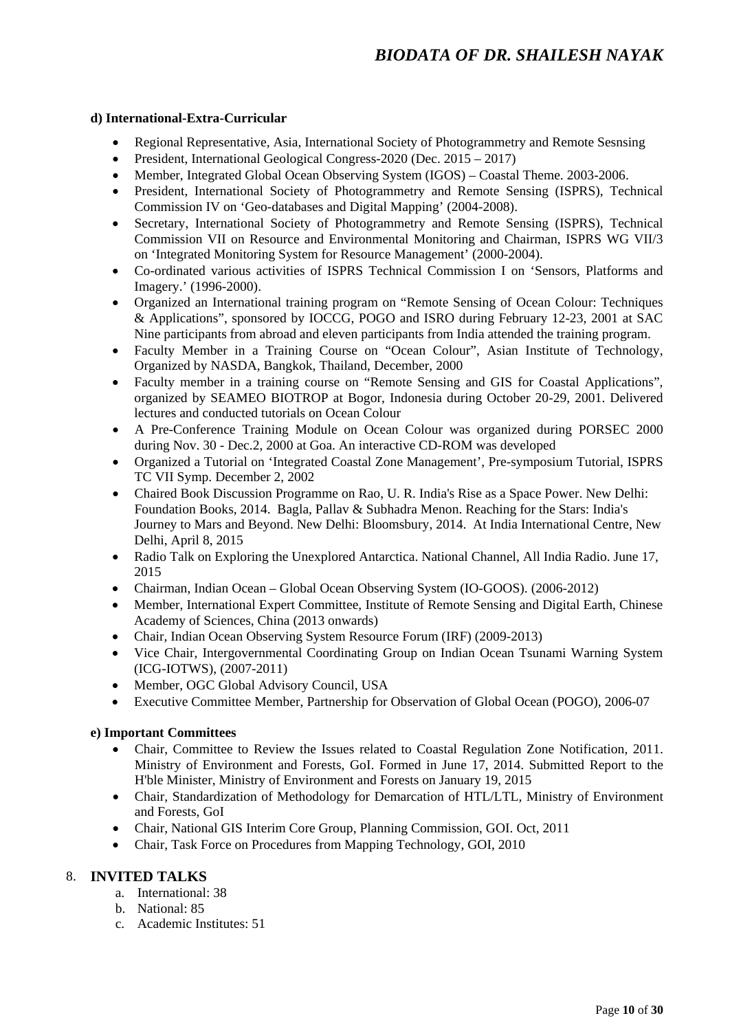#### **d) International-Extra-Curricular**

- Regional Representative, Asia, International Society of Photogrammetry and Remote Sesnsing
- President, International Geological Congress-2020 (Dec. 2015 2017)
- Member, Integrated Global Ocean Observing System (IGOS) Coastal Theme. 2003-2006.
- President, International Society of Photogrammetry and Remote Sensing (ISPRS), Technical Commission IV on 'Geo-databases and Digital Mapping' (2004-2008).
- Secretary, International Society of Photogrammetry and Remote Sensing (ISPRS). Technical Commission VII on Resource and Environmental Monitoring and Chairman, ISPRS WG VII/3 on 'Integrated Monitoring System for Resource Management' (2000-2004).
- Co-ordinated various activities of ISPRS Technical Commission I on 'Sensors, Platforms and Imagery.' (1996-2000).
- Organized an International training program on "Remote Sensing of Ocean Colour: Techniques & Applications", sponsored by IOCCG, POGO and ISRO during February 12-23, 2001 at SAC Nine participants from abroad and eleven participants from India attended the training program.
- Faculty Member in a Training Course on "Ocean Colour", Asian Institute of Technology, Organized by NASDA, Bangkok, Thailand, December, 2000
- Faculty member in a training course on "Remote Sensing and GIS for Coastal Applications". organized by SEAMEO BIOTROP at Bogor, Indonesia during October 20-29, 2001. Delivered lectures and conducted tutorials on Ocean Colour
- A Pre-Conference Training Module on Ocean Colour was organized during PORSEC 2000 during Nov. 30 - Dec.2, 2000 at Goa. An interactive CD-ROM was developed
- Organized a Tutorial on 'Integrated Coastal Zone Management', Pre-symposium Tutorial, ISPRS TC VII Symp. December 2, 2002
- Chaired Book Discussion Programme on Rao, U. R. India's Rise as a Space Power. New Delhi: Foundation Books, 2014. Bagla, Pallav & Subhadra Menon. Reaching for the Stars: India's Journey to Mars and Beyond. New Delhi: Bloomsbury, 2014. At India International Centre, New Delhi, April 8, 2015
- Radio Talk on Exploring the Unexplored Antarctica. National Channel, All India Radio. June 17, 2015
- Chairman, Indian Ocean Global Ocean Observing System (IO-GOOS). (2006-2012)
- Member, International Expert Committee, Institute of Remote Sensing and Digital Earth, Chinese Academy of Sciences, China (2013 onwards)
- Chair, Indian Ocean Observing System Resource Forum (IRF) (2009-2013)
- Vice Chair, Intergovernmental Coordinating Group on Indian Ocean Tsunami Warning System (ICG-IOTWS), (2007-2011)
- Member, OGC Global Advisory Council, USA
- Executive Committee Member, Partnership for Observation of Global Ocean (POGO), 2006-07

#### **e) Important Committees**

- Chair, Committee to Review the Issues related to Coastal Regulation Zone Notification, 2011. Ministry of Environment and Forests, GoI. Formed in June 17, 2014. Submitted Report to the H'ble Minister, Ministry of Environment and Forests on January 19, 2015
- Chair, Standardization of Methodology for Demarcation of HTL/LTL, Ministry of Environment and Forests, GoI
- Chair, National GIS Interim Core Group, Planning Commission, GOI. Oct, 2011
- Chair, Task Force on Procedures from Mapping Technology, GOI, 2010

#### 8. **INVITED TALKS**

- a. International: 38
- b. National: 85
- c. Academic Institutes: 51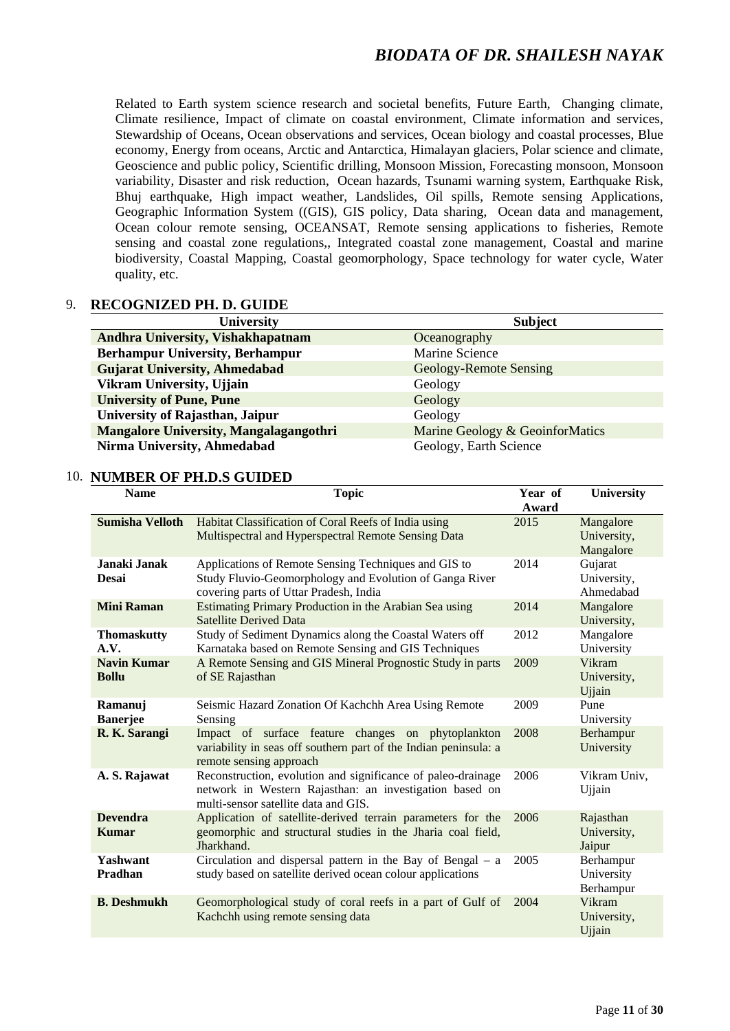Related to Earth system science research and societal benefits, Future Earth, Changing climate, Climate resilience, Impact of climate on coastal environment, Climate information and services, Stewardship of Oceans, Ocean observations and services, Ocean biology and coastal processes, Blue economy, Energy from oceans, Arctic and Antarctica, Himalayan glaciers, Polar science and climate, Geoscience and public policy, Scientific drilling, Monsoon Mission, Forecasting monsoon, Monsoon variability, Disaster and risk reduction, Ocean hazards, Tsunami warning system, Earthquake Risk, Bhuj earthquake, High impact weather, Landslides, Oil spills, Remote sensing Applications, Geographic Information System ((GIS), GIS policy, Data sharing, Ocean data and management, Ocean colour remote sensing, OCEANSAT, Remote sensing applications to fisheries, Remote sensing and coastal zone regulations,, Integrated coastal zone management, Coastal and marine biodiversity, Coastal Mapping, Coastal geomorphology, Space technology for water cycle, Water quality, etc.

#### 9. **RECOGNIZED PH. D. GUIDE**

| <b>University</b>                             | <b>Subject</b>                  |
|-----------------------------------------------|---------------------------------|
| Andhra University, Vishakhapatnam             | Oceanography                    |
| <b>Berhampur University, Berhampur</b>        | Marine Science                  |
| <b>Gujarat University, Ahmedabad</b>          | Geology-Remote Sensing          |
| Vikram University, Ujjain                     | Geology                         |
| <b>University of Pune, Pune</b>               | Geology                         |
| University of Rajasthan, Jaipur               | Geology                         |
| <b>Mangalore University, Mangalagangothri</b> | Marine Geology & GeoinforMatics |
| Nirma University, Ahmedabad                   | Geology, Earth Science          |

#### 10. **NUMBER OF PH.D.S GUIDED**

| <b>Name</b>                        | <b>Topic</b>                                                                                                                                                    | Year of<br>Award | <b>University</b>                     |
|------------------------------------|-----------------------------------------------------------------------------------------------------------------------------------------------------------------|------------------|---------------------------------------|
| <b>Sumisha Velloth</b>             | Habitat Classification of Coral Reefs of India using<br>Multispectral and Hyperspectral Remote Sensing Data                                                     | 2015             | Mangalore<br>University,<br>Mangalore |
| Janaki Janak<br><b>Desai</b>       | Applications of Remote Sensing Techniques and GIS to<br>Study Fluvio-Geomorphology and Evolution of Ganga River<br>covering parts of Uttar Pradesh, India       | 2014             | Gujarat<br>University,<br>Ahmedabad   |
| <b>Mini Raman</b>                  | Estimating Primary Production in the Arabian Sea using<br><b>Satellite Derived Data</b>                                                                         | 2014             | Mangalore<br>University,              |
| <b>Thomaskutty</b><br>A.V.         | Study of Sediment Dynamics along the Coastal Waters off<br>Karnataka based on Remote Sensing and GIS Techniques                                                 | 2012             | Mangalore<br>University               |
| <b>Navin Kumar</b><br><b>Bollu</b> | A Remote Sensing and GIS Mineral Prognostic Study in parts<br>of SE Rajasthan                                                                                   | 2009             | Vikram<br>University,<br>Ujjain       |
| Ramanuj<br><b>Banerjee</b>         | Seismic Hazard Zonation Of Kachchh Area Using Remote<br>Sensing                                                                                                 | 2009             | Pune<br>University                    |
| R. K. Sarangi                      | Impact of surface feature changes on phytoplankton<br>variability in seas off southern part of the Indian peninsula: a<br>remote sensing approach               | 2008             | Berhampur<br>University               |
| A. S. Rajawat                      | Reconstruction, evolution and significance of paleo-drainage<br>network in Western Rajasthan: an investigation based on<br>multi-sensor satellite data and GIS. | 2006             | Vikram Univ,<br>Ujjain                |
| <b>Devendra</b><br><b>Kumar</b>    | Application of satellite-derived terrain parameters for the<br>geomorphic and structural studies in the Jharia coal field,<br>Jharkhand.                        | 2006             | Rajasthan<br>University,<br>Jaipur    |
| Yashwant<br>Pradhan                | Circulation and dispersal pattern in the Bay of Bengal $-$ a<br>study based on satellite derived ocean colour applications                                      | 2005             | Berhampur<br>University<br>Berhampur  |
| <b>B.</b> Deshmukh                 | Geomorphological study of coral reefs in a part of Gulf of<br>Kachchh using remote sensing data                                                                 | 2004             | Vikram<br>University,<br>Ujjain       |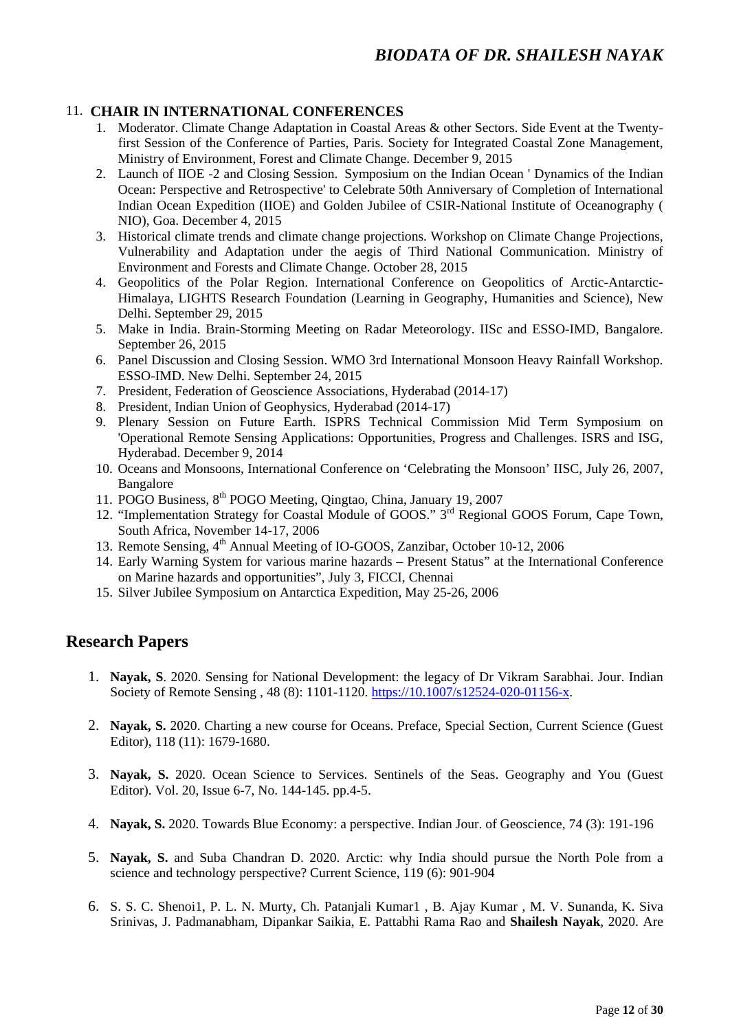#### 11. **CHAIR IN INTERNATIONAL CONFERENCES**

- 1. Moderator. Climate Change Adaptation in Coastal Areas & other Sectors. Side Event at the Twentyfirst Session of the Conference of Parties, Paris. Society for Integrated Coastal Zone Management, Ministry of Environment, Forest and Climate Change. December 9, 2015
- 2. Launch of IIOE -2 and Closing Session. Symposium on the Indian Ocean ' Dynamics of the Indian Ocean: Perspective and Retrospective' to Celebrate 50th Anniversary of Completion of International Indian Ocean Expedition (IIOE) and Golden Jubilee of CSIR-National Institute of Oceanography ( NIO), Goa. December 4, 2015
- 3. Historical climate trends and climate change projections. Workshop on Climate Change Projections, Vulnerability and Adaptation under the aegis of Third National Communication. Ministry of Environment and Forests and Climate Change. October 28, 2015
- 4. Geopolitics of the Polar Region. International Conference on Geopolitics of Arctic-Antarctic-Himalaya, LIGHTS Research Foundation (Learning in Geography, Humanities and Science), New Delhi. September 29, 2015
- 5. Make in India. Brain-Storming Meeting on Radar Meteorology. IISc and ESSO-IMD, Bangalore. September 26, 2015
- 6. Panel Discussion and Closing Session. WMO 3rd International Monsoon Heavy Rainfall Workshop. ESSO-IMD. New Delhi. September 24, 2015
- 7. President, Federation of Geoscience Associations, Hyderabad (2014-17)
- 8. President, Indian Union of Geophysics, Hyderabad (2014-17)
- 9. Plenary Session on Future Earth. ISPRS Technical Commission Mid Term Symposium on 'Operational Remote Sensing Applications: Opportunities, Progress and Challenges. ISRS and ISG, Hyderabad. December 9, 2014
- 10. Oceans and Monsoons, International Conference on 'Celebrating the Monsoon' IISC, July 26, 2007, Bangalore
- 11. POGO Business, 8<sup>th</sup> POGO Meeting, Qingtao, China, January 19, 2007
- 12. "Implementation Strategy for Coastal Module of GOOS." 3<sup>rd</sup> Regional GOOS Forum, Cape Town, South Africa, November 14-17, 2006
- 13. Remote Sensing, 4<sup>th</sup> Annual Meeting of IO-GOOS, Zanzibar, October 10-12, 2006
- 14. Early Warning System for various marine hazards Present Status" at the International Conference on Marine hazards and opportunities", July 3, FICCI, Chennai
- 15. Silver Jubilee Symposium on Antarctica Expedition, May 25-26, 2006

## **Research Papers**

- 1. **Nayak, S**. 2020. Sensing for National Development: the legacy of Dr Vikram Sarabhai. Jour. Indian Society of Remote Sensing , 48 (8): 1101-1120. [https://10.1007/s12524-020-01156-x.](https://10.0.3.239/s12524-020-01156-x)
- 2. **Nayak, S.** 2020. Charting a new course for Oceans. Preface, Special Section, Current Science (Guest Editor), 118 (11): 1679-1680.
- 3. **Nayak, S.** 2020. Ocean Science to Services. Sentinels of the Seas. Geography and You (Guest Editor). Vol. 20, Issue 6-7, No. 144-145. pp.4-5.
- 4. **Nayak, S.** 2020. Towards Blue Economy: a perspective. Indian Jour. of Geoscience, 74 (3): 191-196
- 5. **Nayak, S.** and Suba Chandran D. 2020. Arctic: why India should pursue the North Pole from a science and technology perspective? Current Science, 119 (6): 901-904
- 6. S. S. C. Shenoi1, P. L. N. Murty, Ch. Patanjali Kumar1 , B. Ajay Kumar , M. V. Sunanda, K. Siva Srinivas, J. Padmanabham, Dipankar Saikia, E. Pattabhi Rama Rao and **Shailesh Nayak**, 2020. Are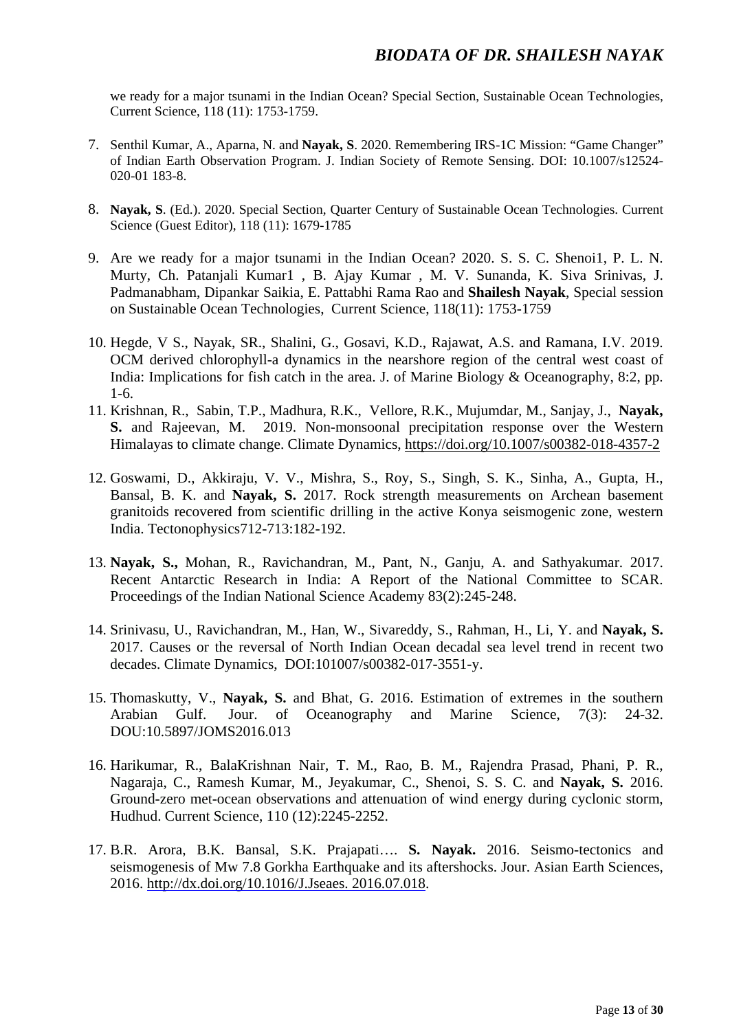we ready for a major tsunami in the Indian Ocean? Special Section, Sustainable Ocean Technologies, Current Science, 118 (11): 1753-1759.

- 7. Senthil Kumar, A., Aparna, N. and **Nayak, S**. 2020. Remembering IRS-1C Mission: "Game Changer" of Indian Earth Observation Program. J. Indian Society of Remote Sensing. DOI: 10.1007/s12524- 020-01 183-8.
- 8. **Nayak, S**. (Ed.). 2020. Special Section, Quarter Century of Sustainable Ocean Technologies. Current Science (Guest Editor), 118 (11): 1679-1785
- 9. Are we ready for a major tsunami in the Indian Ocean? 2020. S. S. C. Shenoi1, P. L. N. Murty, Ch. Patanjali Kumar1 , B. Ajay Kumar , M. V. Sunanda, K. Siva Srinivas, J. Padmanabham, Dipankar Saikia, E. Pattabhi Rama Rao and **Shailesh Nayak**, Special session on Sustainable Ocean Technologies, Current Science, 118(11): 1753-1759
- 10. Hegde, V S., Nayak, SR., Shalini, G., Gosavi, K.D., Rajawat, A.S. and Ramana, I.V. 2019. OCM derived chlorophyll-a dynamics in the nearshore region of the central west coast of India: Implications for fish catch in the area. J. of Marine Biology & Oceanography, 8:2, pp. 1-6.
- 11. Krishnan, R., Sabin, T.P., Madhura, R.K., Vellore, R.K., Mujumdar, M., Sanjay, J., **Nayak, S.** and Rajeevan, M. 2019. Non-monsoonal precipitation response over the Western Himalayas to climate change. Climate Dynamics, <https://doi.org/10.1007/s00382-018-4357-2>
- 12. Goswami, D., Akkiraju, V. V., Mishra, S., Roy, S., Singh, S. K., Sinha, A., Gupta, H., Bansal, B. K. and **Nayak, S.** 2017. Rock strength measurements on Archean basement granitoids recovered from scientific drilling in the active Konya seismogenic zone, western India. Tectonophysics712-713:182-192.
- 13. **Nayak, S.,** Mohan, R., Ravichandran, M., Pant, N., Ganju, A. and Sathyakumar. 2017. Recent Antarctic Research in India: A Report of the National Committee to SCAR. Proceedings of the Indian National Science Academy 83(2):245-248.
- 14. Srinivasu, U., Ravichandran, M., Han, W., Sivareddy, S., Rahman, H., Li, Y. and **Nayak, S.** 2017. Causes or the reversal of North Indian Ocean decadal sea level trend in recent two decades. Climate Dynamics, DOI:101007/s00382-017-3551-y.
- 15. Thomaskutty, V., **Nayak, S.** and Bhat, G. 2016. Estimation of extremes in the southern Arabian Gulf. Jour. of Oceanography and Marine Science, 7(3): 24-32. DOU:10.5897/JOMS2016.013
- 16. Harikumar, R., BalaKrishnan Nair, T. M., Rao, B. M., Rajendra Prasad, Phani, P. R., Nagaraja, C., Ramesh Kumar, M., Jeyakumar, C., Shenoi, S. S. C. and **Nayak, S.** 2016. Ground-zero met-ocean observations and attenuation of wind energy during cyclonic storm, Hudhud. Current Science, 110 (12):2245-2252.
- 17. B.R. Arora, B.K. Bansal, S.K. Prajapati…. **S. Nayak.** 2016. Seismo-tectonics and seismogenesis of Mw 7.8 Gorkha Earthquake and its aftershocks. Jour. Asian Earth Sciences, 2016. http://dx.doi.org/10.1016/J.Jseaes. 2016.07.018.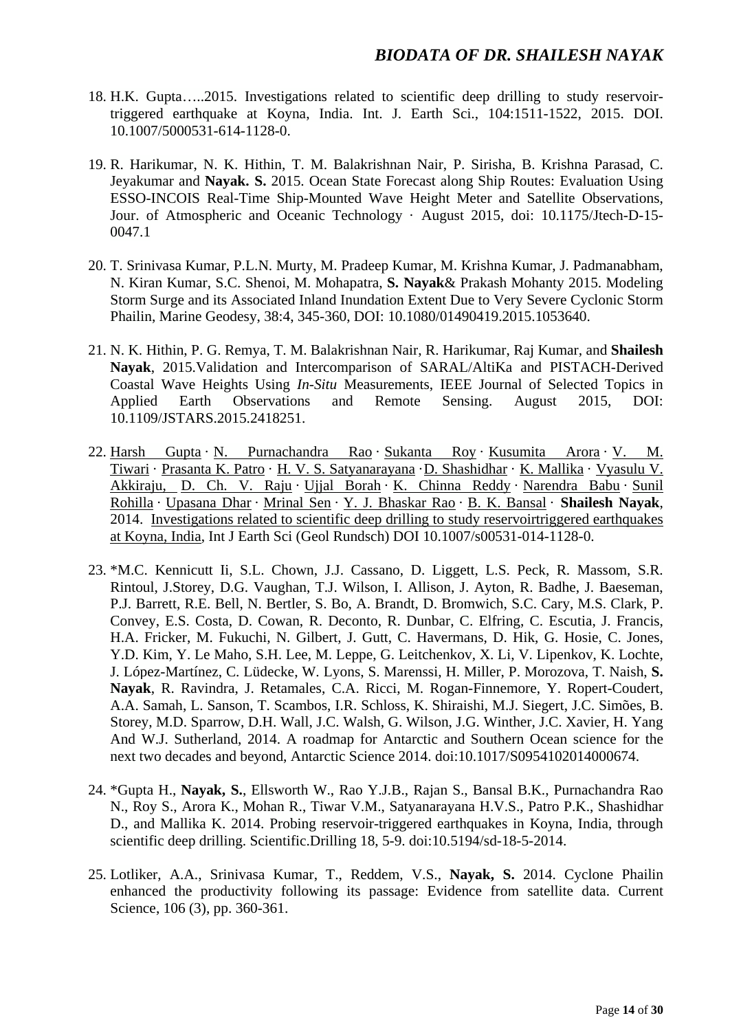- 18. H.K. Gupta…..2015. Investigations related to scientific deep drilling to study reservoirtriggered earthquake at Koyna, India. Int. J. Earth Sci., 104:1511-1522, 2015. DOI. 10.1007/5000531-614-1128-0.
- 19. R. Harikumar, N. K. Hithin, T. M. Balakrishnan Nair, P. Sirisha, B. Krishna Parasad, C. Jeyakumar and **Nayak. S.** 2015. Ocean State Forecast along Ship Routes: Evaluation Using ESSO-INCOIS Real-Time Ship-Mounted Wave Height Meter and Satellite Observations, Jour. of Atmospheric and Oceanic Technology · August 2015, doi: 10.1175/Jtech-D-15- 0047.1
- 20. T. Srinivasa Kumar, P.L.N. Murty, M. Pradeep Kumar, M. Krishna Kumar, J. Padmanabham, N. Kiran Kumar, S.C. Shenoi, M. Mohapatra, **S. Nayak**& Prakash Mohanty 2015. Modeling Storm Surge and its Associated Inland Inundation Extent Due to Very Severe Cyclonic Storm Phailin, Marine Geodesy, 38:4, 345-360, DOI: 10.1080/01490419.2015.1053640.
- 21. N. K. Hithin, P. G. Remya, T. M. Balakrishnan Nair, R. Harikumar, Raj Kumar, and **Shailesh Nayak**, 2015.Validation and Intercomparison of SARAL/AltiKa and PISTACH-Derived Coastal Wave Heights Using *In-Situ* Measurements, IEEE Journal of Selected Topics in Applied Earth Observations and Remote Sensing. August 2015, DOI: 10.1109/JSTARS.2015.2418251.
- 22. Harsh [Gupta](https://www.researchgate.net/researcher/2082914847_Harsh_Gupta) · N. [Purnachandra](https://www.researchgate.net/researcher/66119750_N_Purnachandra_Rao) Rao · [Sukanta](https://www.researchgate.net/researcher/78757931_Sukanta_Roy) Roy · [Kusumita](https://www.researchgate.net/researcher/73791544_Kusumita_Arora) Arora · V. [M.](https://www.researchgate.net/researcher/72202478_V_M_Tiwari) [Tiwari](https://www.researchgate.net/researcher/72202478_V_M_Tiwari) · [Prasanta](https://www.researchgate.net/researcher/2004892294_Prasanta_K_Patro) K. Patro · H. V. S. [Satyanarayana](https://www.researchgate.net/researcher/63020722_H_V_S_Satyanarayana) ·D. [Shashidhar](https://www.researchgate.net/researcher/60017962_D_Shashidhar) · K. [Mallika](https://www.researchgate.net/researcher/64476738_K_Mallika) · [Vyasulu](https://www.researchgate.net/researcher/84402137_Vyasulu_V_Akkiraju) V. [Akkiraju,](https://www.researchgate.net/researcher/84402137_Vyasulu_V_Akkiraju) D. Ch. V. [Raju](https://www.researchgate.net/researcher/2069560616_D_Ch_V_Raju) · Ujjal [Borah](https://www.researchgate.net/researcher/2069514429_Ujjal_Borah) · K. [Chinna](https://www.researchgate.net/researcher/2069546345_K_Chinna_Reddy) Reddy · [Narendra](https://www.researchgate.net/researcher/2094403864_Narendra_Babu) Babu · [Sunil](https://www.researchgate.net/researcher/2034134233_Sunil_Rohilla) [Rohilla](https://www.researchgate.net/researcher/2034134233_Sunil_Rohilla) · [Upasana](https://www.researchgate.net/researcher/2049491894_Upasana_Dhar) Dhar · [Mrinal](https://www.researchgate.net/researcher/2034549635_Mrinal_Sen) Sen · Y. J. [Bhaskar](https://www.researchgate.net/researcher/83108012_Y_J_Bhaskar_Rao) Rao · B. K. [Bansal](https://www.researchgate.net/researcher/2033829706_B_K_Bansal) · **Shailesh Nayak**, 2014. Investigations related to scientific deep drilling to study [reservoirtriggered](https://www.researchgate.net/publication/273695392_Investigations_related_to_scientific_deep_drilling_to_study_reservoir-triggered_earthquakes_at_Koyna_India?ev=prf_pub) earthquakes at [Koyna,](https://www.researchgate.net/publication/273695392_Investigations_related_to_scientific_deep_drilling_to_study_reservoir-triggered_earthquakes_at_Koyna_India?ev=prf_pub) India, Int J Earth Sci (Geol Rundsch) DOI 10.1007/s00531-014-1128-0.
- 23. \*M.C. Kennicutt Ii, S.L. Chown, J.J. Cassano, D. Liggett, L.S. Peck, R. Massom, S.R. Rintoul, J.Storey, D.G. Vaughan, T.J. Wilson, I. Allison, J. Ayton, R. Badhe, J. Baeseman, P.J. Barrett, R.E. Bell, N. Bertler, S. Bo, A. Brandt, D. Bromwich, S.C. Cary, M.S. Clark, P. Convey, E.S. Costa, D. Cowan, R. Deconto, R. Dunbar, C. Elfring, C. Escutia, J. Francis, H.A. Fricker, M. Fukuchi, N. Gilbert, J. Gutt, C. Havermans, D. Hik, G. Hosie, C. Jones, Y.D. Kim, Y. Le Maho, S.H. Lee, M. Leppe, G. Leitchenkov, X. Li, V. Lipenkov, K. Lochte, J. López-Martínez, C. Lüdecke, W. Lyons, S. Marenssi, H. Miller, P. Morozova, T. Naish, **S. Nayak**, R. Ravindra, J. Retamales, C.A. Ricci, M. Rogan-Finnemore, Y. Ropert-Coudert, A.A. Samah, L. Sanson, T. Scambos, I.R. Schloss, K. Shiraishi, M.J. Siegert, J.C. Simões, B. Storey, M.D. Sparrow, D.H. Wall, J.C. Walsh, G. Wilson, J.G. Winther, J.C. Xavier, H. Yang And W.J. Sutherland, 2014. A roadmap for Antarctic and Southern Ocean science for the next two decades and beyond, Antarctic Science 2014. doi:10.1017/S0954102014000674.
- 24. \*Gupta H., **Nayak, S.**, Ellsworth W., Rao Y.J.B., Rajan S., Bansal B.K., Purnachandra Rao N., Roy S., Arora K., Mohan R., Tiwar V.M., Satyanarayana H.V.S., Patro P.K., Shashidhar D., and Mallika K. 2014. Probing reservoir-triggered earthquakes in Koyna, India, through scientific deep drilling. Scientific.Drilling 18, 5-9. doi:10.5194/sd-18-5-2014.
- 25. Lotliker, A.A., Srinivasa Kumar, T., Reddem, V.S., **Nayak, S.** 2014. Cyclone Phailin enhanced the productivity following its passage: Evidence from satellite data. Current Science, 106 (3), pp. 360-361.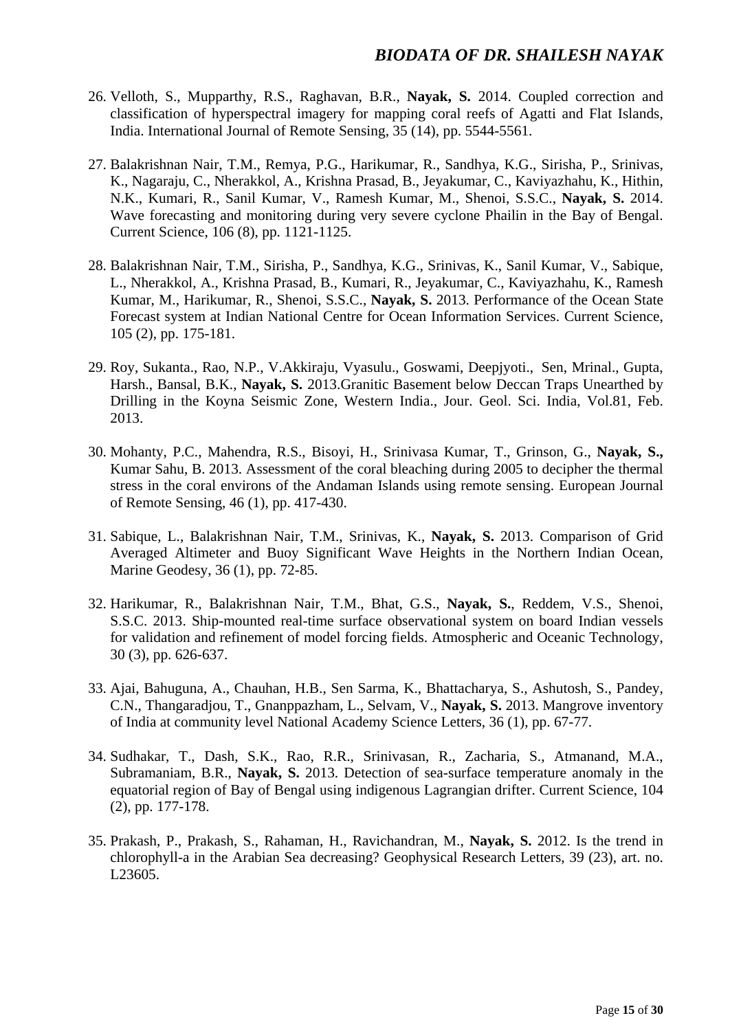- 26. Velloth, S., Mupparthy, R.S., Raghavan, B.R., **Nayak, S.** 2014. Coupled correction and classification of hyperspectral imagery for mapping coral reefs of Agatti and Flat Islands, India. International Journal of Remote Sensing, 35 (14), pp. 5544-5561.
- 27. Balakrishnan Nair, T.M., Remya, P.G., Harikumar, R., Sandhya, K.G., Sirisha, P., Srinivas, K., Nagaraju, C., Nherakkol, A., Krishna Prasad, B., Jeyakumar, C., Kaviyazhahu, K., Hithin, N.K., Kumari, R., Sanil Kumar, V., Ramesh Kumar, M., Shenoi, S.S.C., **Nayak, S.** 2014. Wave forecasting and monitoring during very severe cyclone Phailin in the Bay of Bengal. Current Science, 106 (8), pp. 1121-1125.
- 28. Balakrishnan Nair, T.M., Sirisha, P., Sandhya, K.G., Srinivas, K., Sanil Kumar, V., Sabique, L., Nherakkol, A., Krishna Prasad, B., Kumari, R., Jeyakumar, C., Kaviyazhahu, K., Ramesh Kumar, M., Harikumar, R., Shenoi, S.S.C., **Nayak, S.** 2013. Performance of the Ocean State Forecast system at Indian National Centre for Ocean Information Services. Current Science, 105 (2), pp. 175-181.
- 29. Roy, Sukanta., Rao, N.P., V.Akkiraju, Vyasulu., Goswami, Deepjyoti., Sen, Mrinal., Gupta, Harsh., Bansal, B.K., **Nayak, S.** 2013.Granitic Basement below Deccan Traps Unearthed by Drilling in the Koyna Seismic Zone, Western India., Jour. Geol. Sci. India, Vol.81, Feb. 2013.
- 30. Mohanty, P.C., Mahendra, R.S., Bisoyi, H., Srinivasa Kumar, T., Grinson, G., **Nayak, S.,** Kumar Sahu, B. 2013. Assessment of the coral bleaching during 2005 to decipher the thermal stress in the coral environs of the Andaman Islands using remote sensing. European Journal of Remote Sensing, 46 (1), pp. 417-430.
- 31. Sabique, L., Balakrishnan Nair, T.M., Srinivas, K., **Nayak, S.** 2013. Comparison of Grid Averaged Altimeter and Buoy Significant Wave Heights in the Northern Indian Ocean, Marine Geodesy, 36 (1), pp. 72-85.
- 32. Harikumar, R., Balakrishnan Nair, T.M., Bhat, G.S., **Nayak, S.**, Reddem, V.S., Shenoi, S.S.C. 2013. Ship-mounted real-time surface observational system on board Indian vessels for validation and refinement of model forcing fields. Atmospheric and Oceanic Technology, 30 (3), pp. 626-637.
- 33. Ajai, Bahuguna, A., Chauhan, H.B., Sen Sarma, K., Bhattacharya, S., Ashutosh, S., Pandey, C.N., Thangaradjou, T., Gnanppazham, L., Selvam, V., **Nayak, S.** 2013. Mangrove inventory of India at community level National Academy Science Letters, 36 (1), pp. 67-77.
- 34. Sudhakar, T., Dash, S.K., Rao, R.R., Srinivasan, R., Zacharia, S., Atmanand, M.A., Subramaniam, B.R., **Nayak, S.** 2013. Detection of sea-surface temperature anomaly in the equatorial region of Bay of Bengal using indigenous Lagrangian drifter. Current Science, 104 (2), pp. 177-178.
- 35. Prakash, P., Prakash, S., Rahaman, H., Ravichandran, M., **Nayak, S.** 2012. Is the trend in chlorophyll-a in the Arabian Sea decreasing? Geophysical Research Letters, 39 (23), art. no. L23605.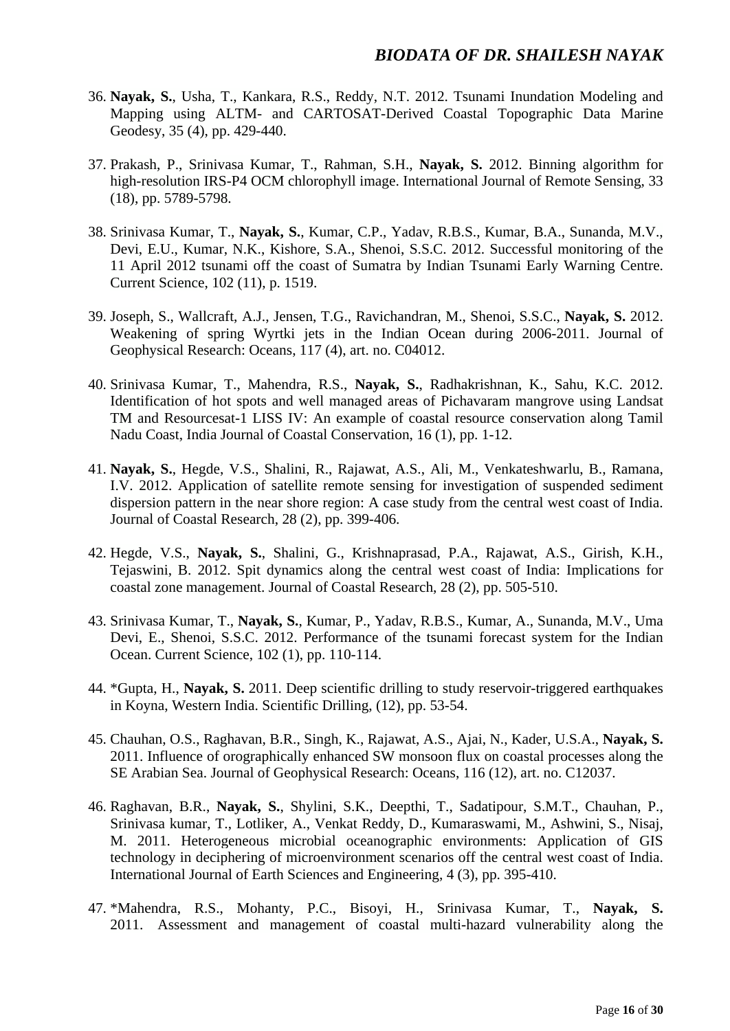- 36. **Nayak, S.**, Usha, T., Kankara, R.S., Reddy, N.T. 2012. Tsunami Inundation Modeling and Mapping using ALTM- and CARTOSAT-Derived Coastal Topographic Data Marine Geodesy, 35 (4), pp. 429-440.
- 37. Prakash, P., Srinivasa Kumar, T., Rahman, S.H., **Nayak, S.** 2012. Binning algorithm for high-resolution IRS-P4 OCM chlorophyll image. International Journal of Remote Sensing, 33 (18), pp. 5789-5798.
- 38. Srinivasa Kumar, T., **Nayak, S.**, Kumar, C.P., Yadav, R.B.S., Kumar, B.A., Sunanda, M.V., Devi, E.U., Kumar, N.K., Kishore, S.A., Shenoi, S.S.C. 2012. Successful monitoring of the 11 April 2012 tsunami off the coast of Sumatra by Indian Tsunami Early Warning Centre. Current Science, 102 (11), p. 1519.
- 39. Joseph, S., Wallcraft, A.J., Jensen, T.G., Ravichandran, M., Shenoi, S.S.C., **Nayak, S.** 2012. Weakening of spring Wyrtki jets in the Indian Ocean during 2006-2011. Journal of Geophysical Research: Oceans, 117 (4), art. no. C04012.
- 40. Srinivasa Kumar, T., Mahendra, R.S., **Nayak, S.**, Radhakrishnan, K., Sahu, K.C. 2012. Identification of hot spots and well managed areas of Pichavaram mangrove using Landsat TM and Resourcesat-1 LISS IV: An example of coastal resource conservation along Tamil Nadu Coast, India Journal of Coastal Conservation, 16 (1), pp. 1-12.
- 41. **Nayak, S.**, Hegde, V.S., Shalini, R., Rajawat, A.S., Ali, M., Venkateshwarlu, B., Ramana, I.V. 2012. Application of satellite remote sensing for investigation of suspended sediment dispersion pattern in the near shore region: A case study from the central west coast of India. Journal of Coastal Research, 28 (2), pp. 399-406.
- 42. Hegde, V.S., **Nayak, S.**, Shalini, G., Krishnaprasad, P.A., Rajawat, A.S., Girish, K.H., Tejaswini, B. 2012. Spit dynamics along the central west coast of India: Implications for coastal zone management. Journal of Coastal Research, 28 (2), pp. 505-510.
- 43. Srinivasa Kumar, T., **Nayak, S.**, Kumar, P., Yadav, R.B.S., Kumar, A., Sunanda, M.V., Uma Devi, E., Shenoi, S.S.C. 2012. Performance of the tsunami forecast system for the Indian Ocean. Current Science, 102 (1), pp. 110-114.
- 44. \*Gupta, H., **Nayak, S.** 2011. Deep scientific drilling to study reservoir-triggered earthquakes in Koyna, Western India. Scientific Drilling, (12), pp. 53-54.
- 45. Chauhan, O.S., Raghavan, B.R., Singh, K., Rajawat, A.S., Ajai, N., Kader, U.S.A., **Nayak, S.** 2011. Influence of orographically enhanced SW monsoon flux on coastal processes along the SE Arabian Sea. Journal of Geophysical Research: Oceans, 116 (12), art. no. C12037.
- 46. Raghavan, B.R., **Nayak, S.**, Shylini, S.K., Deepthi, T., Sadatipour, S.M.T., Chauhan, P., Srinivasa kumar, T., Lotliker, A., Venkat Reddy, D., Kumaraswami, M., Ashwini, S., Nisaj, M. 2011. Heterogeneous microbial oceanographic environments: Application of GIS technology in deciphering of microenvironment scenarios off the central west coast of India. International Journal of Earth Sciences and Engineering, 4 (3), pp. 395-410.
- 47. \*Mahendra, R.S., Mohanty, P.C., Bisoyi, H., Srinivasa Kumar, T., **Nayak, S.** 2011. Assessment and management of coastal multi-hazard vulnerability along the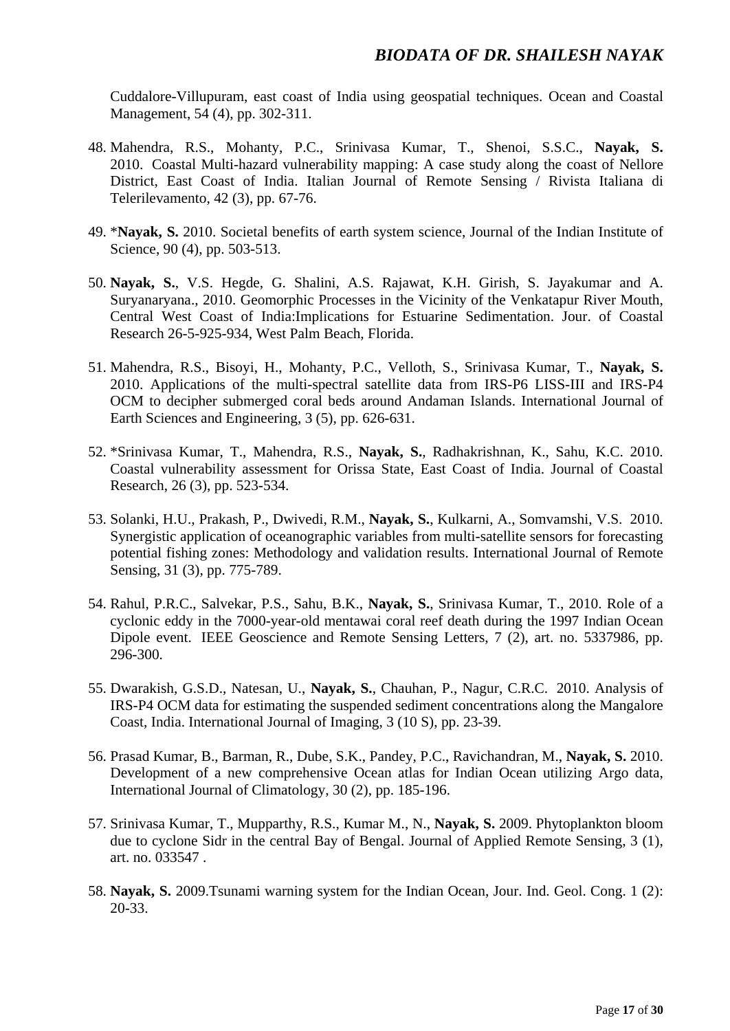Cuddalore-Villupuram, east coast of India using geospatial techniques. Ocean and Coastal Management, 54 (4), pp. 302-311.

- 48. Mahendra, R.S., Mohanty, P.C., Srinivasa Kumar, T., Shenoi, S.S.C., **Nayak, S.** 2010. Coastal Multi-hazard vulnerability mapping: A case study along the coast of Nellore District, East Coast of India. Italian Journal of Remote Sensing / Rivista Italiana di Telerilevamento, 42 (3), pp. 67-76.
- 49. \***Nayak, S.** 2010. Societal benefits of earth system science, Journal of the Indian Institute of Science, 90 (4), pp. 503-513.
- 50. **Nayak, S.**, V.S. Hegde, G. Shalini, A.S. Rajawat, K.H. Girish, S. Jayakumar and A. Suryanaryana., 2010. Geomorphic Processes in the Vicinity of the Venkatapur River Mouth, Central West Coast of India:Implications for Estuarine Sedimentation. Jour. of Coastal Research 26-5-925-934, West Palm Beach, Florida.
- 51. Mahendra, R.S., Bisoyi, H., Mohanty, P.C., Velloth, S., Srinivasa Kumar, T., **Nayak, S.** 2010. Applications of the multi-spectral satellite data from IRS-P6 LISS-III and IRS-P4 OCM to decipher submerged coral beds around Andaman Islands. International Journal of Earth Sciences and Engineering, 3 (5), pp. 626-631.
- 52. \*Srinivasa Kumar, T., Mahendra, R.S., **Nayak, S.**, Radhakrishnan, K., Sahu, K.C. 2010. Coastal vulnerability assessment for Orissa State, East Coast of India. Journal of Coastal Research, 26 (3), pp. 523-534.
- 53. Solanki, H.U., Prakash, P., Dwivedi, R.M., **Nayak, S.**, Kulkarni, A., Somvamshi, V.S. 2010. Synergistic application of oceanographic variables from multi-satellite sensors for forecasting potential fishing zones: Methodology and validation results. International Journal of Remote Sensing, 31 (3), pp. 775-789.
- 54. Rahul, P.R.C., Salvekar, P.S., Sahu, B.K., **Nayak, S.**, Srinivasa Kumar, T., 2010. Role of a cyclonic eddy in the 7000-year-old mentawai coral reef death during the 1997 Indian Ocean Dipole event. IEEE Geoscience and Remote Sensing Letters, 7 (2), art. no. 5337986, pp. 296-300.
- 55. Dwarakish, G.S.D., Natesan, U., **Nayak, S.**, Chauhan, P., Nagur, C.R.C. 2010. Analysis of IRS-P4 OCM data for estimating the suspended sediment concentrations along the Mangalore Coast, India. International Journal of Imaging, 3 (10 S), pp. 23-39.
- 56. Prasad Kumar, B., Barman, R., Dube, S.K., Pandey, P.C., Ravichandran, M., **Nayak, S.** 2010. Development of a new comprehensive Ocean atlas for Indian Ocean utilizing Argo data, International Journal of Climatology, 30 (2), pp. 185-196.
- 57. Srinivasa Kumar, T., Mupparthy, R.S., Kumar M., N., **Nayak, S.** 2009. Phytoplankton bloom due to cyclone Sidr in the central Bay of Bengal. Journal of Applied Remote Sensing, 3 (1), art. no. 033547 .
- 58. **Nayak, S.** 2009.Tsunami warning system for the Indian Ocean, Jour. Ind. Geol. Cong. 1 (2): 20-33.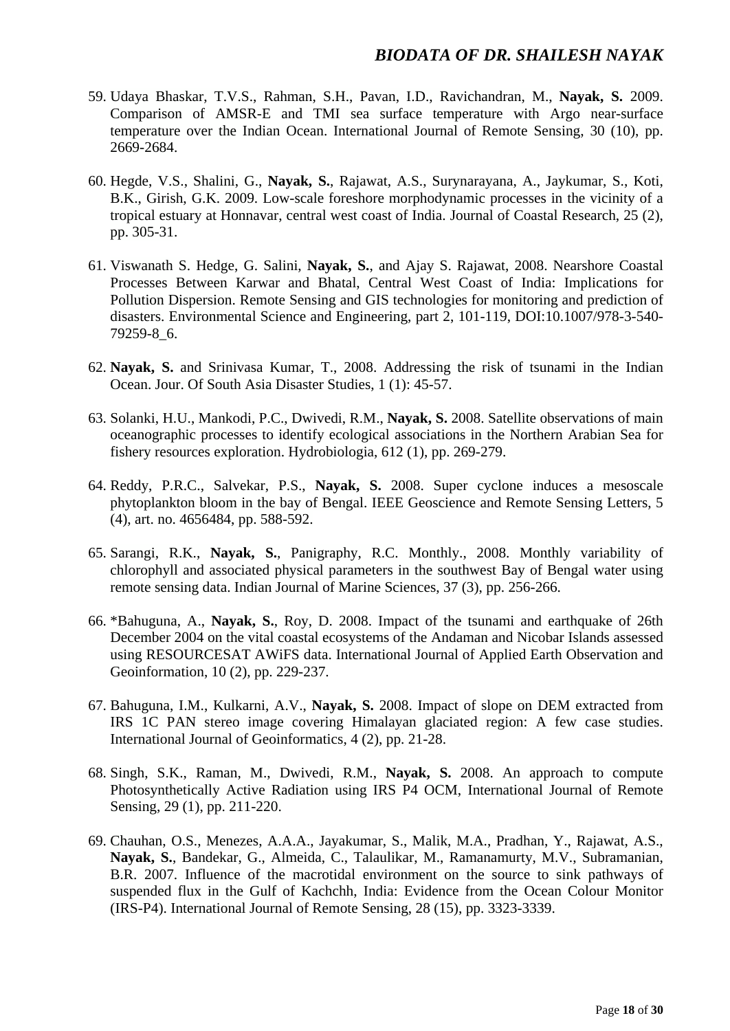- 59. Udaya Bhaskar, T.V.S., Rahman, S.H., Pavan, I.D., Ravichandran, M., **Nayak, S.** 2009. Comparison of AMSR-E and TMI sea surface temperature with Argo near-surface temperature over the Indian Ocean. International Journal of Remote Sensing, 30 (10), pp. 2669-2684.
- 60. Hegde, V.S., Shalini, G., **Nayak, S.**, Rajawat, A.S., Surynarayana, A., Jaykumar, S., Koti, B.K., Girish, G.K. 2009. Low-scale foreshore morphodynamic processes in the vicinity of a tropical estuary at Honnavar, central west coast of India. Journal of Coastal Research, 25 (2), pp. 305-31.
- 61. Viswanath S. Hedge, G. Salini, **Nayak, S.**, and Ajay S. Rajawat, 2008. Nearshore Coastal Processes Between Karwar and Bhatal, Central West Coast of India: Implications for Pollution Dispersion. Remote Sensing and GIS technologies for monitoring and prediction of disasters. Environmental Science and Engineering, part 2, 101-119, DOI:10.1007/978-3-540- 79259-8\_6.
- 62. **Nayak, S.** and Srinivasa Kumar, T., 2008. Addressing the risk of tsunami in the Indian Ocean. Jour. Of South Asia Disaster Studies, 1 (1): 45-57.
- 63. Solanki, H.U., Mankodi, P.C., Dwivedi, R.M., **Nayak, S.** 2008. Satellite observations of main oceanographic processes to identify ecological associations in the Northern Arabian Sea for fishery resources exploration. Hydrobiologia, 612 (1), pp. 269-279.
- 64. Reddy, P.R.C., Salvekar, P.S., **Nayak, S.** 2008. Super cyclone induces a mesoscale phytoplankton bloom in the bay of Bengal. IEEE Geoscience and Remote Sensing Letters, 5 (4), art. no. 4656484, pp. 588-592.
- 65. Sarangi, R.K., **Nayak, S.**, Panigraphy, R.C. Monthly., 2008. Monthly variability of chlorophyll and associated physical parameters in the southwest Bay of Bengal water using remote sensing data. Indian Journal of Marine Sciences, 37 (3), pp. 256-266.
- 66. \*Bahuguna, A., **Nayak, S.**, Roy, D. 2008. Impact of the tsunami and earthquake of 26th December 2004 on the vital coastal ecosystems of the Andaman and Nicobar Islands assessed using RESOURCESAT AWiFS data. International Journal of Applied Earth Observation and Geoinformation, 10 (2), pp. 229-237.
- 67. Bahuguna, I.M., Kulkarni, A.V., **Nayak, S.** 2008. Impact of slope on DEM extracted from IRS 1C PAN stereo image covering Himalayan glaciated region: A few case studies. International Journal of Geoinformatics, 4 (2), pp. 21-28.
- 68. Singh, S.K., Raman, M., Dwivedi, R.M., **Nayak, S.** 2008. An approach to compute Photosynthetically Active Radiation using IRS P4 OCM, International Journal of Remote Sensing, 29 (1), pp. 211-220.
- 69. Chauhan, O.S., Menezes, A.A.A., Jayakumar, S., Malik, M.A., Pradhan, Y., Rajawat, A.S., **Nayak, S.**, Bandekar, G., Almeida, C., Talaulikar, M., Ramanamurty, M.V., Subramanian, B.R. 2007. Influence of the macrotidal environment on the source to sink pathways of suspended flux in the Gulf of Kachchh, India: Evidence from the Ocean Colour Monitor (IRS-P4). International Journal of Remote Sensing, 28 (15), pp. 3323-3339.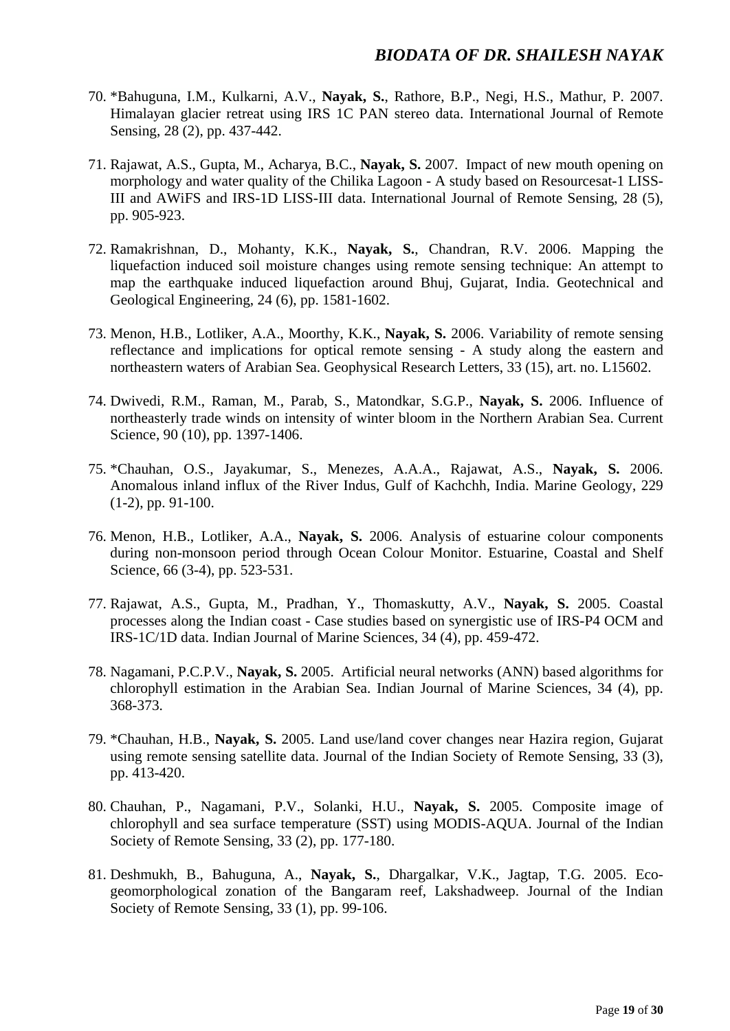- 70. \*Bahuguna, I.M., Kulkarni, A.V., **Nayak, S.**, Rathore, B.P., Negi, H.S., Mathur, P. 2007. Himalayan glacier retreat using IRS 1C PAN stereo data. International Journal of Remote Sensing, 28 (2), pp. 437-442.
- 71. Rajawat, A.S., Gupta, M., Acharya, B.C., **Nayak, S.** 2007. Impact of new mouth opening on morphology and water quality of the Chilika Lagoon - A study based on Resourcesat-1 LISS-III and AWiFS and IRS-1D LISS-III data. International Journal of Remote Sensing, 28 (5), pp. 905-923.
- 72. Ramakrishnan, D., Mohanty, K.K., **Nayak, S.**, Chandran, R.V. 2006. Mapping the liquefaction induced soil moisture changes using remote sensing technique: An attempt to map the earthquake induced liquefaction around Bhuj, Gujarat, India. Geotechnical and Geological Engineering, 24 (6), pp. 1581-1602.
- 73. Menon, H.B., Lotliker, A.A., Moorthy, K.K., **Nayak, S.** 2006. Variability of remote sensing reflectance and implications for optical remote sensing - A study along the eastern and northeastern waters of Arabian Sea. Geophysical Research Letters, 33 (15), art. no. L15602.
- 74. Dwivedi, R.M., Raman, M., Parab, S., Matondkar, S.G.P., **Nayak, S.** 2006. Influence of northeasterly trade winds on intensity of winter bloom in the Northern Arabian Sea. Current Science, 90 (10), pp. 1397-1406.
- 75. \*Chauhan, O.S., Jayakumar, S., Menezes, A.A.A., Rajawat, A.S., **Nayak, S.** 2006. Anomalous inland influx of the River Indus, Gulf of Kachchh, India. Marine Geology, 229 (1-2), pp. 91-100.
- 76. Menon, H.B., Lotliker, A.A., **Nayak, S.** 2006. Analysis of estuarine colour components during non-monsoon period through Ocean Colour Monitor. Estuarine, Coastal and Shelf Science, 66 (3-4), pp. 523-531.
- 77. Rajawat, A.S., Gupta, M., Pradhan, Y., Thomaskutty, A.V., **Nayak, S.** 2005. Coastal processes along the Indian coast - Case studies based on synergistic use of IRS-P4 OCM and IRS-1C/1D data. Indian Journal of Marine Sciences, 34 (4), pp. 459-472.
- 78. Nagamani, P.C.P.V., **Nayak, S.** 2005. Artificial neural networks (ANN) based algorithms for chlorophyll estimation in the Arabian Sea. Indian Journal of Marine Sciences, 34 (4), pp. 368-373.
- 79. \*Chauhan, H.B., **Nayak, S.** 2005. Land use/land cover changes near Hazira region, Gujarat using remote sensing satellite data. Journal of the Indian Society of Remote Sensing, 33 (3), pp. 413-420.
- 80. Chauhan, P., Nagamani, P.V., Solanki, H.U., **Nayak, S.** 2005. Composite image of chlorophyll and sea surface temperature (SST) using MODIS-AQUA. Journal of the Indian Society of Remote Sensing, 33 (2), pp. 177-180.
- 81. Deshmukh, B., Bahuguna, A., **Nayak, S.**, Dhargalkar, V.K., Jagtap, T.G. 2005. Ecogeomorphological zonation of the Bangaram reef, Lakshadweep. Journal of the Indian Society of Remote Sensing, 33 (1), pp. 99-106.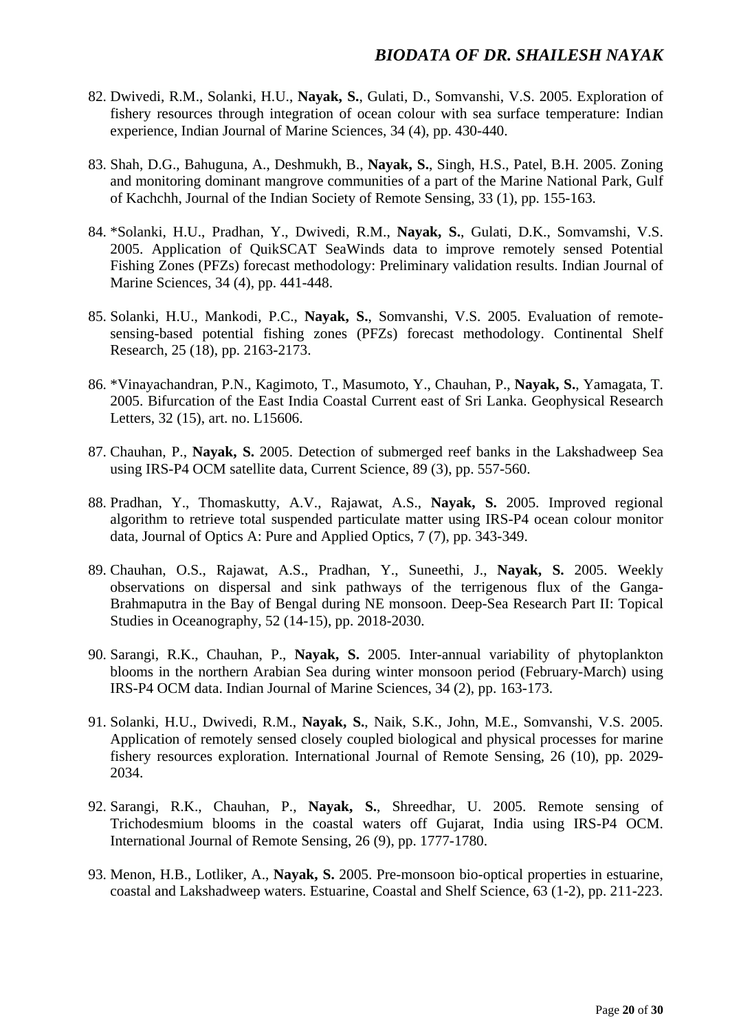- 82. Dwivedi, R.M., Solanki, H.U., **Nayak, S.**, Gulati, D., Somvanshi, V.S. 2005. Exploration of fishery resources through integration of ocean colour with sea surface temperature: Indian experience, Indian Journal of Marine Sciences, 34 (4), pp. 430-440.
- 83. Shah, D.G., Bahuguna, A., Deshmukh, B., **Nayak, S.**, Singh, H.S., Patel, B.H. 2005. Zoning and monitoring dominant mangrove communities of a part of the Marine National Park, Gulf of Kachchh, Journal of the Indian Society of Remote Sensing, 33 (1), pp. 155-163.
- 84. \*Solanki, H.U., Pradhan, Y., Dwivedi, R.M., **Nayak, S.**, Gulati, D.K., Somvamshi, V.S. 2005. Application of QuikSCAT SeaWinds data to improve remotely sensed Potential Fishing Zones (PFZs) forecast methodology: Preliminary validation results. Indian Journal of Marine Sciences, 34 (4), pp. 441-448.
- 85. Solanki, H.U., Mankodi, P.C., **Nayak, S.**, Somvanshi, V.S. 2005. Evaluation of remotesensing-based potential fishing zones (PFZs) forecast methodology. Continental Shelf Research, 25 (18), pp. 2163-2173.
- 86. \*Vinayachandran, P.N., Kagimoto, T., Masumoto, Y., Chauhan, P., **Nayak, S.**, Yamagata, T. 2005. Bifurcation of the East India Coastal Current east of Sri Lanka. Geophysical Research Letters, 32 (15), art. no. L15606.
- 87. Chauhan, P., **Nayak, S.** 2005. Detection of submerged reef banks in the Lakshadweep Sea using IRS-P4 OCM satellite data, Current Science, 89 (3), pp. 557-560.
- 88. Pradhan, Y., Thomaskutty, A.V., Rajawat, A.S., **Nayak, S.** 2005. Improved regional algorithm to retrieve total suspended particulate matter using IRS-P4 ocean colour monitor data, Journal of Optics A: Pure and Applied Optics, 7 (7), pp. 343-349.
- 89. Chauhan, O.S., Rajawat, A.S., Pradhan, Y., Suneethi, J., **Nayak, S.** 2005. Weekly observations on dispersal and sink pathways of the terrigenous flux of the Ganga-Brahmaputra in the Bay of Bengal during NE monsoon. Deep-Sea Research Part II: Topical Studies in Oceanography, 52 (14-15), pp. 2018-2030.
- 90. Sarangi, R.K., Chauhan, P., **Nayak, S.** 2005. Inter-annual variability of phytoplankton blooms in the northern Arabian Sea during winter monsoon period (February-March) using IRS-P4 OCM data. Indian Journal of Marine Sciences, 34 (2), pp. 163-173.
- 91. Solanki, H.U., Dwivedi, R.M., **Nayak, S.**, Naik, S.K., John, M.E., Somvanshi, V.S. 2005. Application of remotely sensed closely coupled biological and physical processes for marine fishery resources exploration. International Journal of Remote Sensing, 26 (10), pp. 2029- 2034.
- 92. Sarangi, R.K., Chauhan, P., **Nayak, S.**, Shreedhar, U. 2005. Remote sensing of Trichodesmium blooms in the coastal waters off Gujarat, India using IRS-P4 OCM. International Journal of Remote Sensing, 26 (9), pp. 1777-1780.
- 93. Menon, H.B., Lotliker, A., **Nayak, S.** 2005. Pre-monsoon bio-optical properties in estuarine, coastal and Lakshadweep waters. Estuarine, Coastal and Shelf Science, 63 (1-2), pp. 211-223.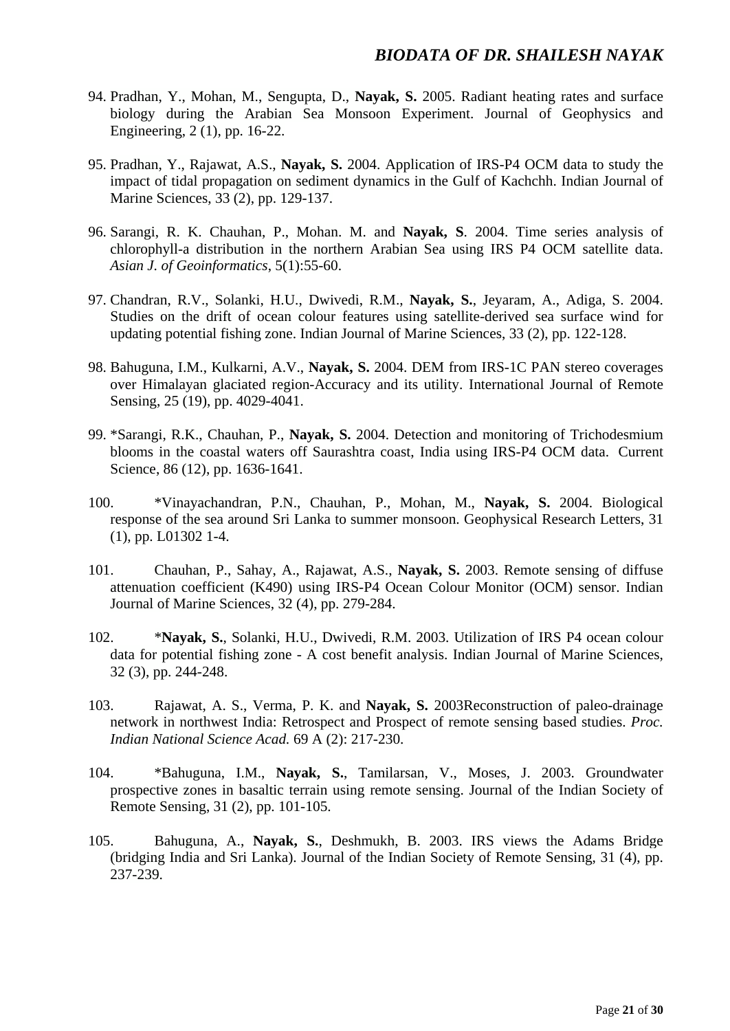- 94. Pradhan, Y., Mohan, M., Sengupta, D., **Nayak, S.** 2005. Radiant heating rates and surface biology during the Arabian Sea Monsoon Experiment. Journal of Geophysics and Engineering, 2 (1), pp. 16-22.
- 95. Pradhan, Y., Rajawat, A.S., **Nayak, S.** 2004. Application of IRS-P4 OCM data to study the impact of tidal propagation on sediment dynamics in the Gulf of Kachchh. Indian Journal of Marine Sciences, 33 (2), pp. 129-137.
- 96. Sarangi, R. K. Chauhan, P., Mohan. M. and **Nayak, S**. 2004. Time series analysis of chlorophyll-a distribution in the northern Arabian Sea using IRS P4 OCM satellite data. *Asian J. of Geoinformatics*, 5(1):55-60.
- 97. Chandran, R.V., Solanki, H.U., Dwivedi, R.M., **Nayak, S.**, Jeyaram, A., Adiga, S. 2004. Studies on the drift of ocean colour features using satellite-derived sea surface wind for updating potential fishing zone. Indian Journal of Marine Sciences, 33 (2), pp. 122-128.
- 98. Bahuguna, I.M., Kulkarni, A.V., **Nayak, S.** 2004. DEM from IRS-1C PAN stereo coverages over Himalayan glaciated region-Accuracy and its utility. International Journal of Remote Sensing, 25 (19), pp. 4029-4041.
- 99. \*Sarangi, R.K., Chauhan, P., **Nayak, S.** 2004. Detection and monitoring of Trichodesmium blooms in the coastal waters off Saurashtra coast, India using IRS-P4 OCM data. Current Science, 86 (12), pp. 1636-1641.
- 100. \*Vinayachandran, P.N., Chauhan, P., Mohan, M., **Nayak, S.** 2004. Biological response of the sea around Sri Lanka to summer monsoon. Geophysical Research Letters, 31 (1), pp. L01302 1-4.
- 101. Chauhan, P., Sahay, A., Rajawat, A.S., **Nayak, S.** 2003. Remote sensing of diffuse attenuation coefficient (K490) using IRS-P4 Ocean Colour Monitor (OCM) sensor. Indian Journal of Marine Sciences, 32 (4), pp. 279-284.
- 102. \***Nayak, S.**, Solanki, H.U., Dwivedi, R.M. 2003. Utilization of IRS P4 ocean colour data for potential fishing zone - A cost benefit analysis. Indian Journal of Marine Sciences, 32 (3), pp. 244-248.
- 103. Rajawat, A. S., Verma, P. K. and **Nayak, S.** 2003Reconstruction of paleo-drainage network in northwest India: Retrospect and Prospect of remote sensing based studies. *Proc. Indian National Science Acad.* 69 A (2): 217-230.
- 104. \*Bahuguna, I.M., **Nayak, S.**, Tamilarsan, V., Moses, J. 2003. Groundwater prospective zones in basaltic terrain using remote sensing. Journal of the Indian Society of Remote Sensing, 31 (2), pp. 101-105.
- 105. Bahuguna, A., **Nayak, S.**, Deshmukh, B. 2003. IRS views the Adams Bridge (bridging India and Sri Lanka). Journal of the Indian Society of Remote Sensing, 31 (4), pp. 237-239.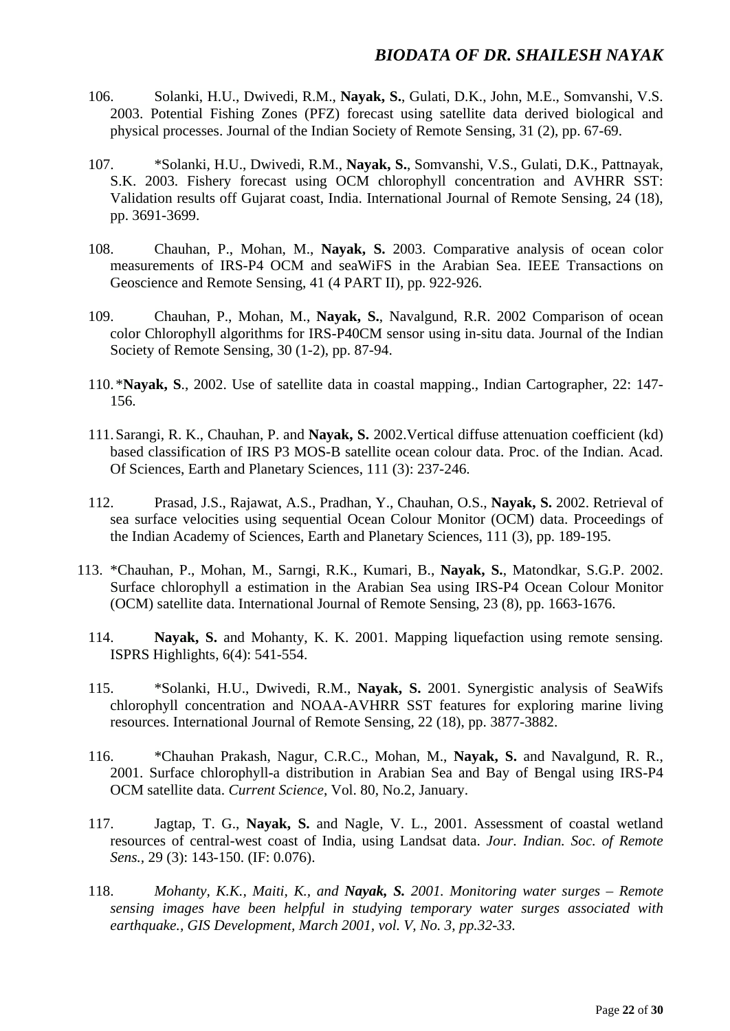- 106. Solanki, H.U., Dwivedi, R.M., **Nayak, S.**, Gulati, D.K., John, M.E., Somvanshi, V.S. 2003. Potential Fishing Zones (PFZ) forecast using satellite data derived biological and physical processes. Journal of the Indian Society of Remote Sensing, 31 (2), pp. 67-69.
- 107. \*Solanki, H.U., Dwivedi, R.M., **Nayak, S.**, Somvanshi, V.S., Gulati, D.K., Pattnayak, S.K. 2003. Fishery forecast using OCM chlorophyll concentration and AVHRR SST: Validation results off Gujarat coast, India. International Journal of Remote Sensing, 24 (18), pp. 3691-3699.
- 108. Chauhan, P., Mohan, M., **Nayak, S.** 2003. Comparative analysis of ocean color measurements of IRS-P4 OCM and seaWiFS in the Arabian Sea. IEEE Transactions on Geoscience and Remote Sensing, 41 (4 PART II), pp. 922-926.
- 109. Chauhan, P., Mohan, M., **Nayak, S.**, Navalgund, R.R. 2002 Comparison of ocean color Chlorophyll algorithms for IRS-P40CM sensor using in-situ data. Journal of the Indian Society of Remote Sensing, 30 (1-2), pp. 87-94.
- 110.\***Nayak, S**., 2002. Use of satellite data in coastal mapping., Indian Cartographer, 22: 147- 156.
- 111.Sarangi, R. K., Chauhan, P. and **Nayak, S.** 2002.Vertical diffuse attenuation coefficient (kd) based classification of IRS P3 MOS-B satellite ocean colour data. Proc. of the Indian. Acad. Of Sciences, Earth and Planetary Sciences, 111 (3): 237-246.
- 112. Prasad, J.S., Rajawat, A.S., Pradhan, Y., Chauhan, O.S., **Nayak, S.** 2002. Retrieval of sea surface velocities using sequential Ocean Colour Monitor (OCM) data. Proceedings of the Indian Academy of Sciences, Earth and Planetary Sciences, 111 (3), pp. 189-195.
- 113. \*Chauhan, P., Mohan, M., Sarngi, R.K., Kumari, B., **Nayak, S.**, Matondkar, S.G.P. 2002. Surface chlorophyll a estimation in the Arabian Sea using IRS-P4 Ocean Colour Monitor (OCM) satellite data. International Journal of Remote Sensing, 23 (8), pp. 1663-1676.
	- 114. **Nayak, S.** and Mohanty, K. K. 2001. Mapping liquefaction using remote sensing. ISPRS Highlights, 6(4): 541-554.
	- 115. \*Solanki, H.U., Dwivedi, R.M., **Nayak, S.** 2001. Synergistic analysis of SeaWifs chlorophyll concentration and NOAA-AVHRR SST features for exploring marine living resources. International Journal of Remote Sensing, 22 (18), pp. 3877-3882.
	- 116. \*Chauhan Prakash, Nagur, C.R.C., Mohan, M., **Nayak, S.** and Navalgund, R. R., 2001. Surface chlorophyll-a distribution in Arabian Sea and Bay of Bengal using IRS-P4 OCM satellite data. *Current Science*, Vol. 80, No.2, January.
	- 117. Jagtap, T. G., **Nayak, S.** and Nagle, V. L., 2001. Assessment of coastal wetland resources of central-west coast of India, using Landsat data. *Jour. Indian. Soc. of Remote Sens.,* 29 (3): 143-150. (IF: 0.076).
	- 118. *Mohanty, K.K., Maiti, K., and Nayak, S. 2001. Monitoring water surges – Remote sensing images have been helpful in studying temporary water surges associated with earthquake., GIS Development, March 2001, vol. V, No. 3, pp.32-33.*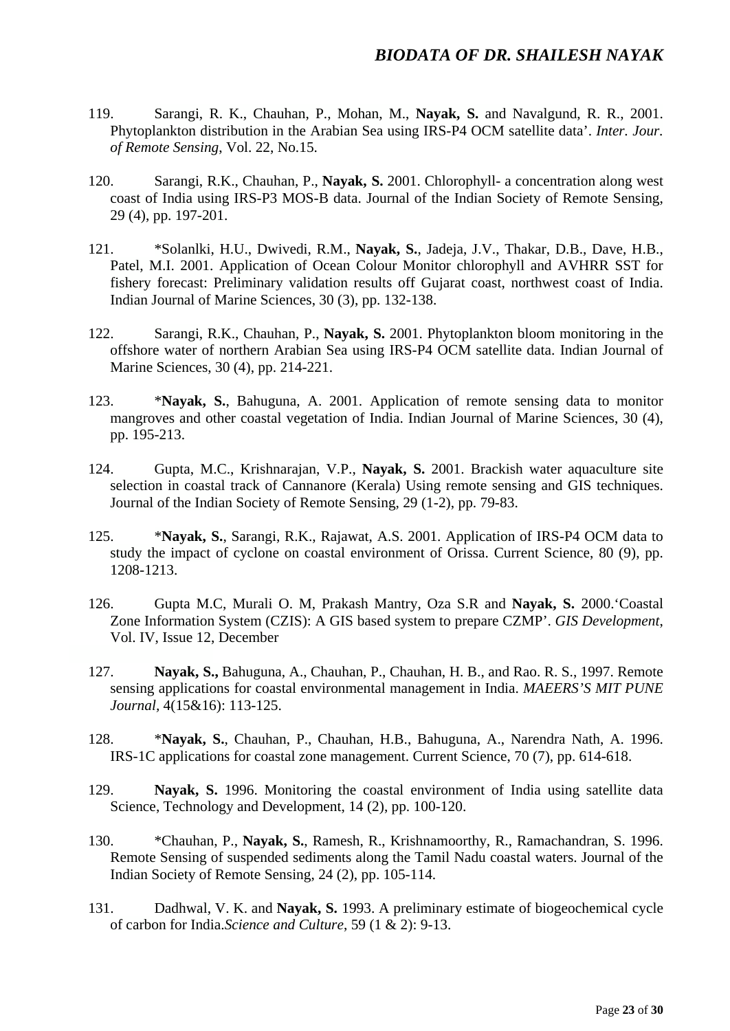- 119. Sarangi, R. K., Chauhan, P., Mohan, M., **Nayak, S.** and Navalgund, R. R., 2001. Phytoplankton distribution in the Arabian Sea using IRS-P4 OCM satellite data'. *Inter. Jour. of Remote Sensing*, Vol. 22, No.15.
- 120. Sarangi, R.K., Chauhan, P., **Nayak, S.** 2001. Chlorophyll- a concentration along west coast of India using IRS-P3 MOS-B data. Journal of the Indian Society of Remote Sensing, 29 (4), pp. 197-201.
- 121. \*Solanlki, H.U., Dwivedi, R.M., **Nayak, S.**, Jadeja, J.V., Thakar, D.B., Dave, H.B., Patel, M.I. 2001. Application of Ocean Colour Monitor chlorophyll and AVHRR SST for fishery forecast: Preliminary validation results off Gujarat coast, northwest coast of India. Indian Journal of Marine Sciences, 30 (3), pp. 132-138.
- 122. Sarangi, R.K., Chauhan, P., **Nayak, S.** 2001. Phytoplankton bloom monitoring in the offshore water of northern Arabian Sea using IRS-P4 OCM satellite data. Indian Journal of Marine Sciences, 30 (4), pp. 214-221.
- 123. \***Nayak, S.**, Bahuguna, A. 2001. Application of remote sensing data to monitor mangroves and other coastal vegetation of India. Indian Journal of Marine Sciences, 30 (4), pp. 195-213.
- 124. Gupta, M.C., Krishnarajan, V.P., **Nayak, S.** 2001. Brackish water aquaculture site selection in coastal track of Cannanore (Kerala) Using remote sensing and GIS techniques. Journal of the Indian Society of Remote Sensing, 29 (1-2), pp. 79-83.
- 125. \***Nayak, S.**, Sarangi, R.K., Rajawat, A.S. 2001. Application of IRS-P4 OCM data to study the impact of cyclone on coastal environment of Orissa. Current Science, 80 (9), pp. 1208-1213.
- 126. Gupta M.C, Murali O. M, Prakash Mantry, Oza S.R and **Nayak, S.** 2000.'Coastal Zone Information System (CZIS): A GIS based system to prepare CZMP'. *GIS Development*, Vol. IV, Issue 12, December
- 127. **Nayak, S.,** Bahuguna, A., Chauhan, P., Chauhan, H. B., and Rao. R. S., 1997. Remote sensing applications for coastal environmental management in India. *MAEERS'S MIT PUNE Journal,* 4(15&16): 113-125.
- 128. \***Nayak, S.**, Chauhan, P., Chauhan, H.B., Bahuguna, A., Narendra Nath, A. 1996. IRS-1C applications for coastal zone management. Current Science, 70 (7), pp. 614-618.
- 129. **Nayak, S.** 1996. Monitoring the coastal environment of India using satellite data Science, Technology and Development, 14 (2), pp. 100-120.
- 130. \*Chauhan, P., **Nayak, S.**, Ramesh, R., Krishnamoorthy, R., Ramachandran, S. 1996. Remote Sensing of suspended sediments along the Tamil Nadu coastal waters. Journal of the Indian Society of Remote Sensing, 24 (2), pp. 105-114.
- 131. Dadhwal, V. K. and **Nayak, S.** 1993. A preliminary estimate of biogeochemical cycle of carbon for India.*Science and Culture*, 59 (1 & 2): 9-13.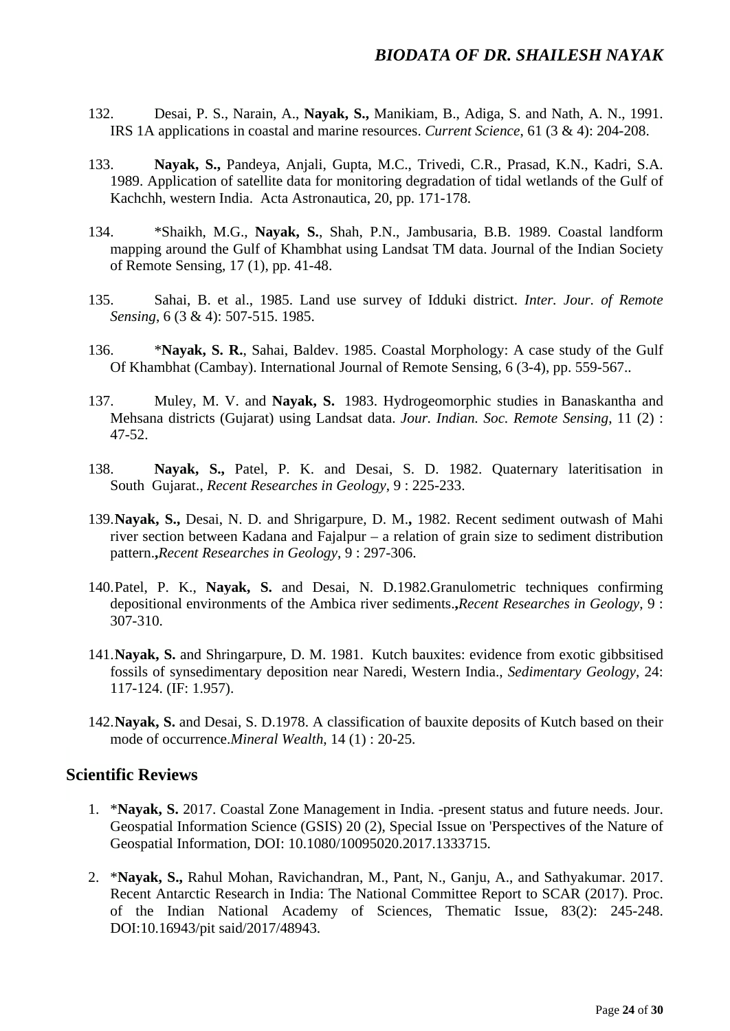- 132. Desai, P. S., Narain, A., **Nayak, S.,** Manikiam, B., Adiga, S. and Nath, A. N., 1991. IRS 1A applications in coastal and marine resources. *Current Science*, 61 (3 & 4): 204-208.
- 133. **Nayak, S.,** Pandeya, Anjali, Gupta, M.C., Trivedi, C.R., Prasad, K.N., Kadri, S.A. 1989. Application of satellite data for monitoring degradation of tidal wetlands of the Gulf of Kachchh, western India. Acta Astronautica, 20, pp. 171-178.
- 134. \*Shaikh, M.G., **Nayak, S.**, Shah, P.N., Jambusaria, B.B. 1989. Coastal landform mapping around the Gulf of Khambhat using Landsat TM data. Journal of the Indian Society of Remote Sensing, 17 (1), pp. 41-48.
- 135. Sahai, B. et al., 1985. Land use survey of Idduki district. *Inter. Jour. of Remote Sensing*, 6 (3 & 4): 507-515. 1985.
- 136. \***Nayak, S. R.**, Sahai, Baldev. 1985. Coastal Morphology: A case study of the Gulf Of Khambhat (Cambay). International Journal of Remote Sensing, 6 (3-4), pp. 559-567..
- 137. Muley, M. V. and **Nayak, S.** 1983. Hydrogeomorphic studies in Banaskantha and Mehsana districts (Gujarat) using Landsat data. *Jour. Indian. Soc. Remote Sensing*, 11 (2) : 47-52.
- 138. **Nayak, S.,** Patel, P. K. and Desai, S. D. 1982. Quaternary lateritisation in South Gujarat., *Recent Researches in Geology*, 9 : 225-233.
- 139.**Nayak, S.,** Desai, N. D. and Shrigarpure, D. M.**,** 1982. Recent sediment outwash of Mahi river section between Kadana and Fajalpur – a relation of grain size to sediment distribution pattern.**,***Recent Researches in Geology*, 9 : 297-306.
- 140.Patel, P. K., **Nayak, S.** and Desai, N. D.1982.Granulometric techniques confirming depositional environments of the Ambica river sediments.**,***Recent Researches in Geology*, 9 : 307-310.
- 141.**Nayak, S.** and Shringarpure, D. M. 1981. Kutch bauxites: evidence from exotic gibbsitised fossils of synsedimentary deposition near Naredi, Western India., *Sedimentary Geology*, 24: 117-124. (IF: 1.957).
- 142.**Nayak, S.** and Desai, S. D.1978. A classification of bauxite deposits of Kutch based on their mode of occurrence.*Mineral Wealth*, 14 (1) : 20-25.

## **Scientific Reviews**

- 1. \***Nayak, S.** 2017. Coastal Zone Management in India. -present status and future needs. Jour. Geospatial Information Science (GSIS) 20 (2), Special Issue on 'Perspectives of the Nature of Geospatial Information, DOI: 10.1080/10095020.2017.1333715.
- 2. \***Nayak, S.,** Rahul Mohan, Ravichandran, M., Pant, N., Ganju, A., and Sathyakumar. 2017. Recent Antarctic Research in India: The National Committee Report to SCAR (2017). Proc. of the Indian National Academy of Sciences, Thematic Issue, 83(2): 245-248. DOI:10.16943/pit said/2017/48943.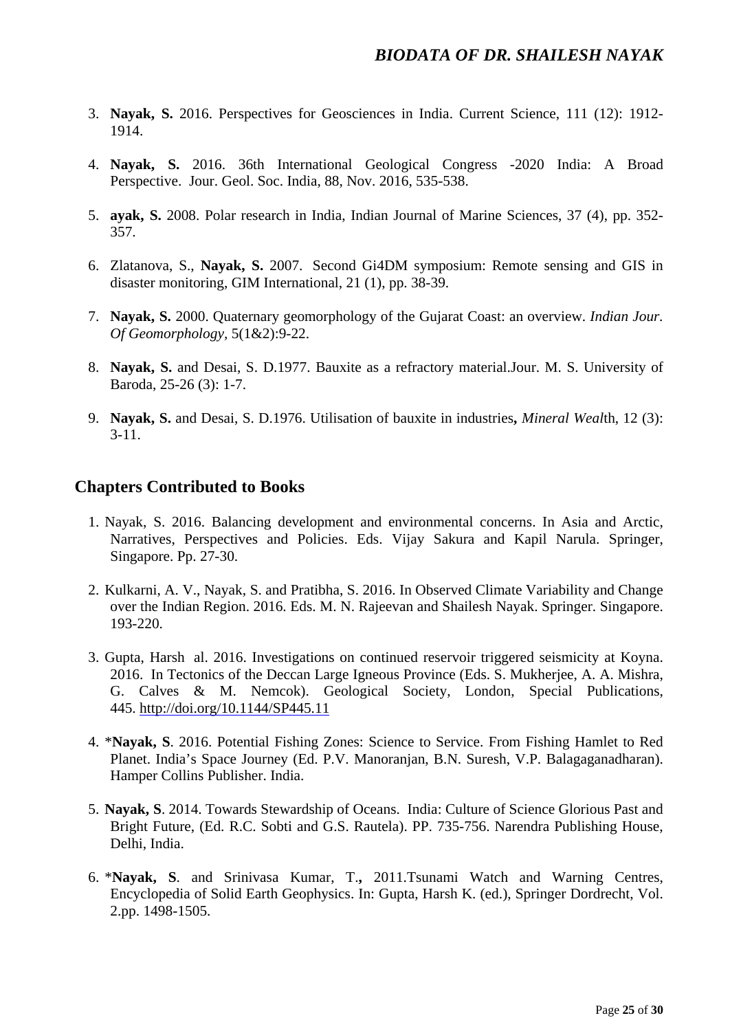- 3. **Nayak, S.** 2016. Perspectives for Geosciences in India. Current Science, 111 (12): 1912- 1914.
- 4. **Nayak, S.** 2016. 36th International Geological Congress -2020 India: A Broad Perspective. Jour. Geol. Soc. India, 88, Nov. 2016, 535-538.
- 5. **ayak, S.** 2008. Polar research in India, Indian Journal of Marine Sciences, 37 (4), pp. 352- 357.
- 6. Zlatanova, S., **Nayak, S.** 2007. Second Gi4DM symposium: Remote sensing and GIS in disaster monitoring, GIM International, 21 (1), pp. 38-39.
- 7. **Nayak, S.** 2000. Quaternary geomorphology of the Gujarat Coast: an overview. *Indian Jour. Of Geomorphology,* 5(1&2):9-22.
- 8. **Nayak, S.** and Desai, S. D.1977. Bauxite as a refractory material.Jour. M. S. University of Baroda, 25-26 (3): 1-7.
- 9. **Nayak, S.** and Desai, S. D.1976. Utilisation of bauxite in industries**,** *Mineral Weal*th, 12 (3):  $3-11.$

## **Chapters Contributed to Books**

- 1. Nayak, S. 2016. Balancing development and environmental concerns. In Asia and Arctic, Narratives, Perspectives and Policies. Eds. Vijay Sakura and Kapil Narula. Springer, Singapore. Pp. 27-30.
- 2. Kulkarni, A. V., Nayak, S. and Pratibha, S. 2016. In Observed Climate Variability and Change over the Indian Region. 2016. Eds. M. N. Rajeevan and Shailesh Nayak. Springer. Singapore. 193-220.
- 3. Gupta, Harsh al. 2016. Investigations on continued reservoir triggered seismicity at Koyna. 2016. In Tectonics of the Deccan Large Igneous Province (Eds. S. Mukherjee, A. A. Mishra, G. Calves & M. Nemcok). Geological Society, London, Special Publications, 445. <http://doi.org/10.1144/SP445.11>
- 4. \***Nayak, S**. 2016. Potential Fishing Zones: Science to Service. From Fishing Hamlet to Red Planet. India's Space Journey (Ed. P.V. Manoranjan, B.N. Suresh, V.P. Balagaganadharan). Hamper Collins Publisher. India.
- 5. **Nayak, S**. 2014. Towards Stewardship of Oceans. India: Culture of Science Glorious Past and Bright Future, (Ed. R.C. Sobti and G.S. Rautela). PP. 735-756. Narendra Publishing House, Delhi, India.
- 6. \***Nayak, S**. and Srinivasa Kumar, T.**,** 2011.Tsunami Watch and Warning Centres, Encyclopedia of Solid Earth Geophysics. In: Gupta, Harsh K. (ed.), Springer Dordrecht, Vol. 2.pp. 1498-1505.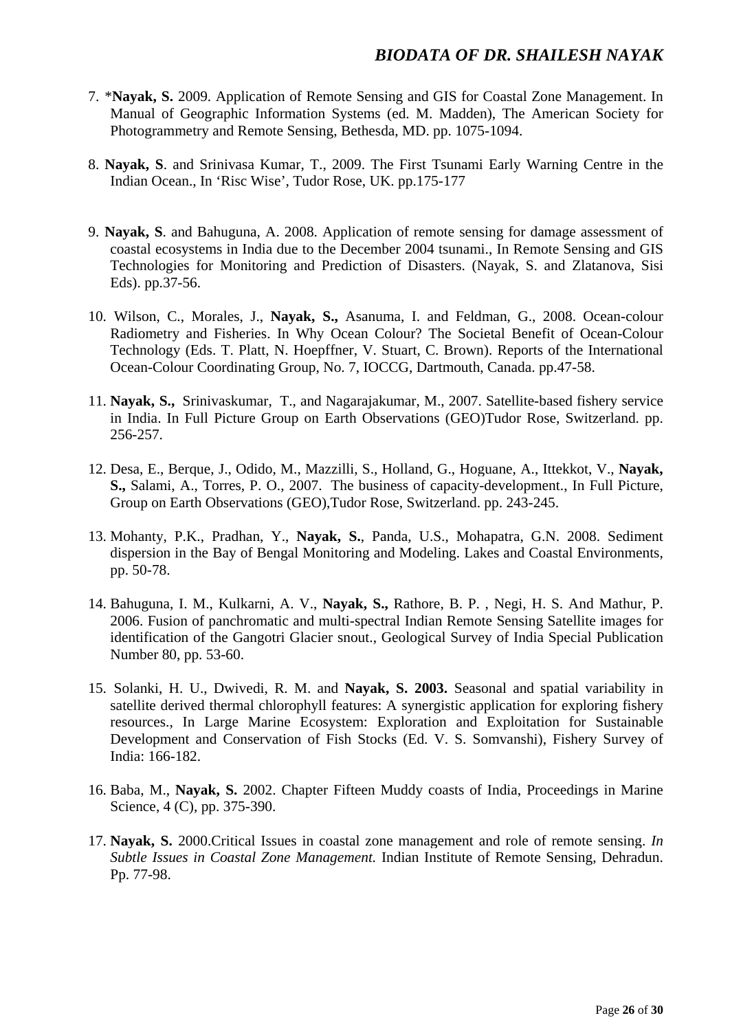- 7. \***Nayak, S.** 2009. Application of Remote Sensing and GIS for Coastal Zone Management. In Manual of Geographic Information Systems (ed. M. Madden), The American Society for Photogrammetry and Remote Sensing, Bethesda, MD. pp. 1075-1094.
- 8. **Nayak, S**. and Srinivasa Kumar, T., 2009. The First Tsunami Early Warning Centre in the Indian Ocean., In 'Risc Wise', Tudor Rose, UK. pp.175-177
- 9. **Nayak, S**. and Bahuguna, A. 2008. Application of remote sensing for damage assessment of coastal ecosystems in India due to the December 2004 tsunami., In Remote Sensing and GIS Technologies for Monitoring and Prediction of Disasters. (Nayak, S. and Zlatanova, Sisi Eds). pp.37-56.
- 10. Wilson, C., Morales, J., **Nayak, S.,** Asanuma, I. and Feldman, G., 2008. Ocean-colour Radiometry and Fisheries. In Why Ocean Colour? The Societal Benefit of Ocean-Colour Technology (Eds. T. Platt, N. Hoepffner, V. Stuart, C. Brown). Reports of the International Ocean-Colour Coordinating Group, No. 7, IOCCG, Dartmouth, Canada. pp.47-58.
- 11. **Nayak, S.,** Srinivaskumar, T., and Nagarajakumar, M., 2007. Satellite-based fishery service in India. In Full Picture Group on Earth Observations (GEO)Tudor Rose, Switzerland. pp. 256-257.
- 12. Desa, E., Berque, J., Odido, M., Mazzilli, S., Holland, G., Hoguane, A., Ittekkot, V., **Nayak, S.,** Salami, A., Torres, P. O., 2007. The business of capacity-development., In Full Picture, Group on Earth Observations (GEO),Tudor Rose, Switzerland. pp. 243-245.
- 13. Mohanty, P.K., Pradhan, Y., **Nayak, S.**, Panda, U.S., Mohapatra, G.N. 2008. Sediment dispersion in the Bay of Bengal Monitoring and Modeling. Lakes and Coastal Environments, pp. 50-78.
- 14. Bahuguna, I. M., Kulkarni, A. V., **Nayak, S.,** Rathore, B. P. , Negi, H. S. And Mathur, P. 2006. Fusion of panchromatic and multi-spectral Indian Remote Sensing Satellite images for identification of the Gangotri Glacier snout., Geological Survey of India Special Publication Number 80, pp. 53-60.
- 15. Solanki, H. U., Dwivedi, R. M. and **Nayak, S. 2003.** Seasonal and spatial variability in satellite derived thermal chlorophyll features: A synergistic application for exploring fishery resources., In Large Marine Ecosystem: Exploration and Exploitation for Sustainable Development and Conservation of Fish Stocks (Ed. V. S. Somvanshi), Fishery Survey of India: 166-182.
- 16. Baba, M., **Nayak, S.** 2002. Chapter Fifteen Muddy coasts of India, Proceedings in Marine Science, 4 (C), pp. 375-390.
- 17. **Nayak, S.** 2000.Critical Issues in coastal zone management and role of remote sensing. *In Subtle Issues in Coastal Zone Management.* Indian Institute of Remote Sensing, Dehradun. Pp. 77-98.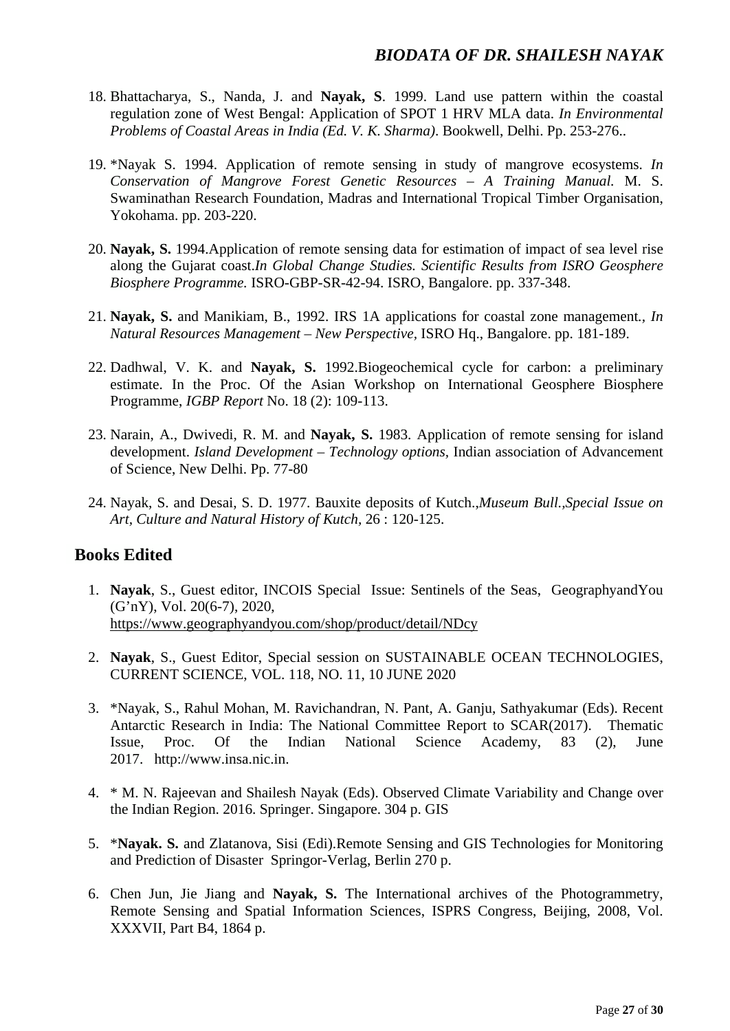- 18. Bhattacharya, S., Nanda, J. and **Nayak, S**. 1999. Land use pattern within the coastal regulation zone of West Bengal: Application of SPOT 1 HRV MLA data. *In Environmental Problems of Coastal Areas in India (Ed. V. K. Sharma)*. Bookwell, Delhi. Pp. 253-276..
- 19. \*Nayak S. 1994. Application of remote sensing in study of mangrove ecosystems. *In Conservation of Mangrove Forest Genetic Resources – A Training Manual.* M. S. Swaminathan Research Foundation, Madras and International Tropical Timber Organisation, Yokohama. pp. 203-220.
- 20. **Nayak, S.** 1994.Application of remote sensing data for estimation of impact of sea level rise along the Gujarat coast.*In Global Change Studies. Scientific Results from ISRO Geosphere Biosphere Programme.* ISRO-GBP-SR-42-94. ISRO, Bangalore. pp. 337-348.
- 21. **Nayak, S.** and Manikiam, B., 1992. IRS 1A applications for coastal zone management*., In Natural Resources Management – New Perspective,* ISRO Hq., Bangalore. pp. 181-189.
- 22. Dadhwal, V. K. and **Nayak, S.** 1992.Biogeochemical cycle for carbon: a preliminary estimate. In the Proc. Of the Asian Workshop on International Geosphere Biosphere Programme, *IGBP Report* No. 18 (2): 109-113.
- 23. Narain, A., Dwivedi, R. M. and **Nayak, S.** 1983. Application of remote sensing for island development. *Island Development – Technology options,* Indian association of Advancement of Science, New Delhi. Pp. 77-80
- 24. Nayak, S. and Desai, S. D. 1977. Bauxite deposits of Kutch.,*Museum Bull.,Special Issue on Art, Culture and Natural History of Kutch,* 26 : 120-125.

#### **Books Edited**

- 1. **Nayak**, S., Guest editor, INCOIS Special Issue: Sentinels of the Seas, GeographyandYou (G'nY), Vol. 20(6-7), 2020, <https://www.geographyandyou.com/shop/product/detail/NDcy>
- 2. **Nayak**, S., Guest Editor, Special session on SUSTAINABLE OCEAN TECHNOLOGIES, CURRENT SCIENCE, VOL. 118, NO. 11, 10 JUNE 2020
- 3. \*Nayak, S., Rahul Mohan, M. Ravichandran, N. Pant, A. Ganju, Sathyakumar (Eds). Recent Antarctic Research in India: The National Committee Report to SCAR(2017). Thematic Issue, Proc. Of the Indian National Science Academy, 83 (2), June 2017. http://www.insa.nic.in.
- 4. \* M. N. Rajeevan and Shailesh Nayak (Eds). Observed Climate Variability and Change over the Indian Region. 2016. Springer. Singapore. 304 p. GIS
- 5. \***Nayak. S.** and Zlatanova, Sisi (Edi).Remote Sensing and GIS Technologies for Monitoring and Prediction of Disaster Springor-Verlag, Berlin 270 p.
- 6. Chen Jun, Jie Jiang and **Nayak, S.** The International archives of the Photogrammetry, Remote Sensing and Spatial Information Sciences, ISPRS Congress, Beijing, 2008, Vol. XXXVII, Part B4, 1864 p.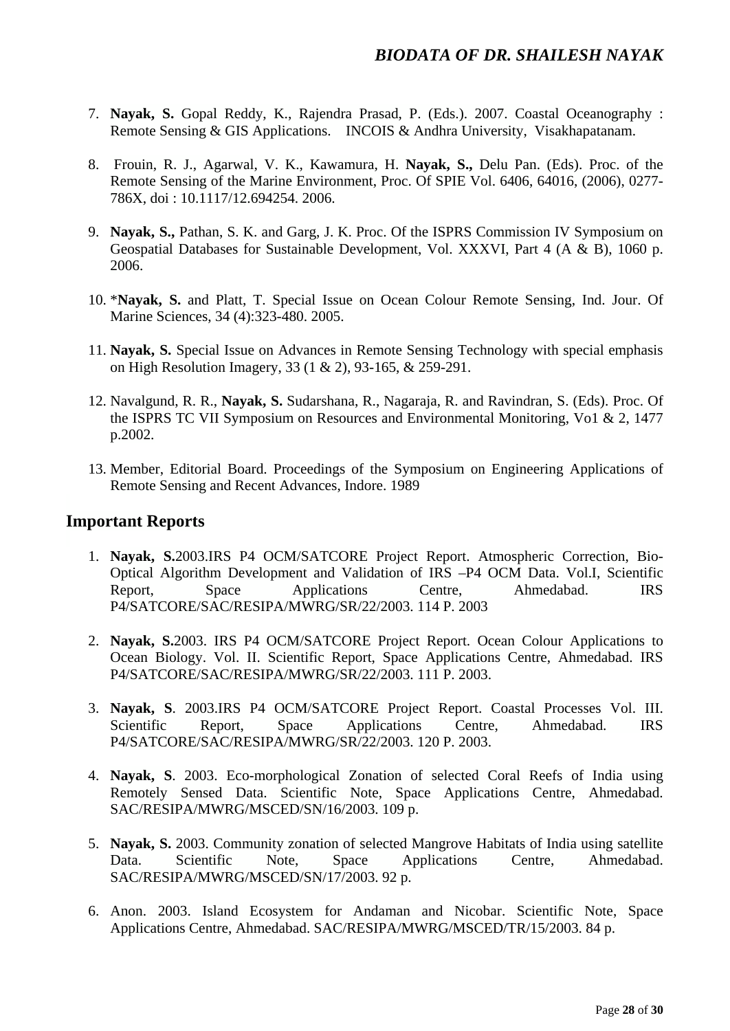- 7. **Nayak, S.** Gopal Reddy, K., Rajendra Prasad, P. (Eds.). 2007. Coastal Oceanography : Remote Sensing & GIS Applications. INCOIS & Andhra University, Visakhapatanam.
- 8. Frouin, R. J., Agarwal, V. K., Kawamura, H. **Nayak, S.,** Delu Pan. (Eds). Proc. of the Remote Sensing of the Marine Environment, Proc. Of SPIE Vol. 6406, 64016, (2006), 0277- 786X, doi : 10.1117/12.694254. 2006.
- 9. **Nayak, S.,** Pathan, S. K. and Garg, J. K. Proc. Of the ISPRS Commission IV Symposium on Geospatial Databases for Sustainable Development, Vol. XXXVI, Part 4 (A & B), 1060 p. 2006.
- 10. \***Nayak, S.** and Platt, T. Special Issue on Ocean Colour Remote Sensing, Ind. Jour. Of Marine Sciences, 34 (4):323-480. 2005.
- 11. **Nayak, S.** Special Issue on Advances in Remote Sensing Technology with special emphasis on High Resolution Imagery, 33 (1 & 2), 93-165, & 259-291.
- 12. Navalgund, R. R., **Nayak, S.** Sudarshana, R., Nagaraja, R. and Ravindran, S. (Eds). Proc. Of the ISPRS TC VII Symposium on Resources and Environmental Monitoring, Vo1 & 2, 1477 p.2002.
- 13. Member, Editorial Board. Proceedings of the Symposium on Engineering Applications of Remote Sensing and Recent Advances, Indore. 1989

## **Important Reports**

- 1. **Nayak, S.**2003.IRS P4 OCM/SATCORE Project Report. Atmospheric Correction, Bio-Optical Algorithm Development and Validation of IRS –P4 OCM Data. Vol.I, Scientific Report, Space Applications Centre, Ahmedabad. IRS P4/SATCORE/SAC/RESIPA/MWRG/SR/22/2003. 114 P. 2003
- 2. **Nayak, S.**2003. IRS P4 OCM/SATCORE Project Report. Ocean Colour Applications to Ocean Biology. Vol. II. Scientific Report, Space Applications Centre, Ahmedabad. IRS P4/SATCORE/SAC/RESIPA/MWRG/SR/22/2003. 111 P. 2003.
- 3. **Nayak, S**. 2003.IRS P4 OCM/SATCORE Project Report. Coastal Processes Vol. III. Scientific Report, Space Applications Centre, Ahmedabad. IRS P4/SATCORE/SAC/RESIPA/MWRG/SR/22/2003. 120 P. 2003.
- 4. **Nayak, S**. 2003. Eco-morphological Zonation of selected Coral Reefs of India using Remotely Sensed Data. Scientific Note, Space Applications Centre, Ahmedabad. SAC/RESIPA/MWRG/MSCED/SN/16/2003. 109 p.
- 5. **Nayak, S.** 2003. Community zonation of selected Mangrove Habitats of India using satellite Data. Scientific Note, Space Applications Centre, Ahmedabad. SAC/RESIPA/MWRG/MSCED/SN/17/2003. 92 p.
- 6. Anon. 2003. Island Ecosystem for Andaman and Nicobar. Scientific Note, Space Applications Centre, Ahmedabad. SAC/RESIPA/MWRG/MSCED/TR/15/2003. 84 p.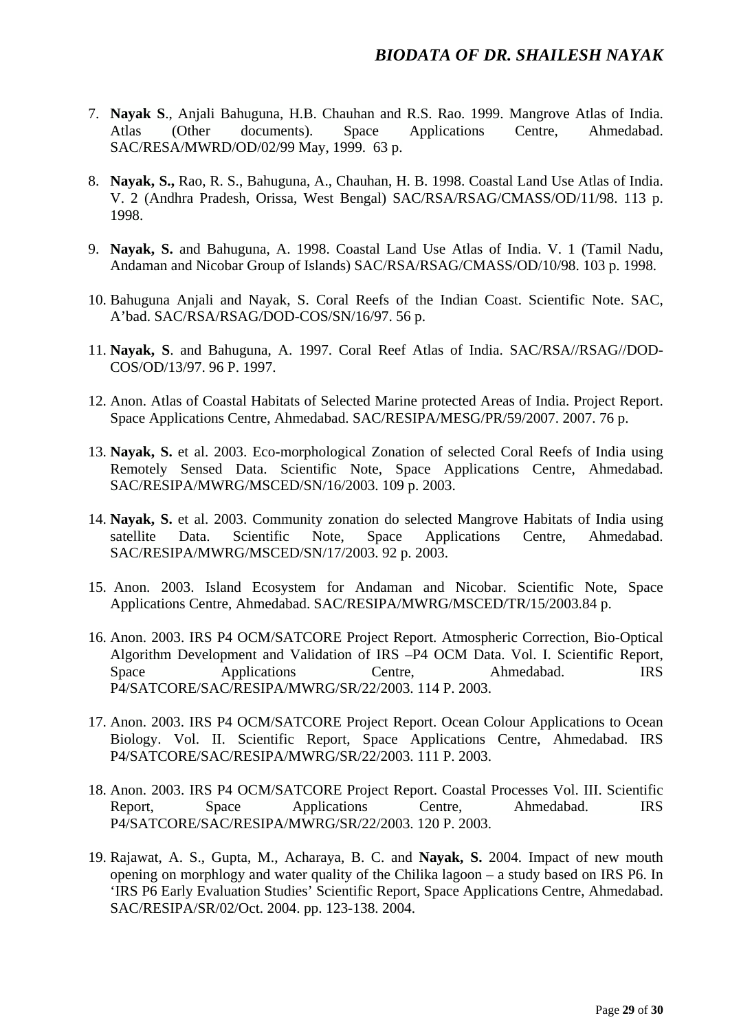- 7. **Nayak S**., Anjali Bahuguna, H.B. Chauhan and R.S. Rao. 1999. Mangrove Atlas of India. Atlas (Other documents). Space Applications Centre, Ahmedabad. SAC/RESA/MWRD/OD/02/99 May, 1999. 63 p.
- 8. **Nayak, S.,** Rao, R. S., Bahuguna, A., Chauhan, H. B. 1998. Coastal Land Use Atlas of India. V. 2 (Andhra Pradesh, Orissa, West Bengal) SAC/RSA/RSAG/CMASS/OD/11/98. 113 p. 1998.
- 9. **Nayak, S.** and Bahuguna, A. 1998. Coastal Land Use Atlas of India. V. 1 (Tamil Nadu, Andaman and Nicobar Group of Islands) SAC/RSA/RSAG/CMASS/OD/10/98. 103 p. 1998.
- 10. Bahuguna Anjali and Nayak, S. Coral Reefs of the Indian Coast. Scientific Note. SAC, A'bad. SAC/RSA/RSAG/DOD-COS/SN/16/97. 56 p.
- 11. **Nayak, S**. and Bahuguna, A. 1997. Coral Reef Atlas of India. SAC/RSA//RSAG//DOD-COS/OD/13/97. 96 P. 1997.
- 12. Anon. Atlas of Coastal Habitats of Selected Marine protected Areas of India. Project Report. Space Applications Centre, Ahmedabad. SAC/RESIPA/MESG/PR/59/2007. 2007. 76 p.
- 13. **Nayak, S.** et al. 2003. Eco-morphological Zonation of selected Coral Reefs of India using Remotely Sensed Data. Scientific Note, Space Applications Centre, Ahmedabad. SAC/RESIPA/MWRG/MSCED/SN/16/2003. 109 p. 2003.
- 14. **Nayak, S.** et al. 2003. Community zonation do selected Mangrove Habitats of India using satellite Data. Scientific Note, Space Applications Centre, Ahmedabad. SAC/RESIPA/MWRG/MSCED/SN/17/2003. 92 p. 2003.
- 15. Anon. 2003. Island Ecosystem for Andaman and Nicobar. Scientific Note, Space Applications Centre, Ahmedabad. SAC/RESIPA/MWRG/MSCED/TR/15/2003.84 p.
- 16. Anon. 2003. IRS P4 OCM/SATCORE Project Report. Atmospheric Correction, Bio-Optical Algorithm Development and Validation of IRS –P4 OCM Data. Vol. I. Scientific Report, Space Applications Centre, Ahmedabad. IRS P4/SATCORE/SAC/RESIPA/MWRG/SR/22/2003. 114 P. 2003.
- 17. Anon. 2003. IRS P4 OCM/SATCORE Project Report. Ocean Colour Applications to Ocean Biology. Vol. II. Scientific Report, Space Applications Centre, Ahmedabad. IRS P4/SATCORE/SAC/RESIPA/MWRG/SR/22/2003. 111 P. 2003.
- 18. Anon. 2003. IRS P4 OCM/SATCORE Project Report. Coastal Processes Vol. III. Scientific Report, Space Applications Centre, Ahmedabad. IRS P4/SATCORE/SAC/RESIPA/MWRG/SR/22/2003. 120 P. 2003.
- 19. Rajawat, A. S., Gupta, M., Acharaya, B. C. and **Nayak, S.** 2004. Impact of new mouth opening on morphlogy and water quality of the Chilika lagoon – a study based on IRS P6. In 'IRS P6 Early Evaluation Studies' Scientific Report, Space Applications Centre, Ahmedabad. SAC/RESIPA/SR/02/Oct. 2004. pp. 123-138. 2004.